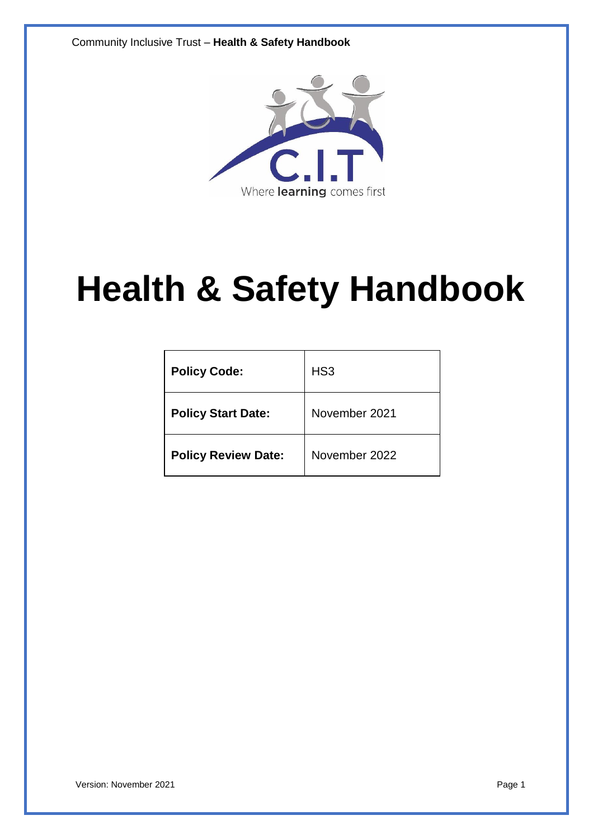Community Inclusive Trust – **Health & Safety Handbook**



# **Health & Safety Handbook**

| <b>Policy Code:</b>        | HS <sub>3</sub> |
|----------------------------|-----------------|
| <b>Policy Start Date:</b>  | November 2021   |
| <b>Policy Review Date:</b> | November 2022   |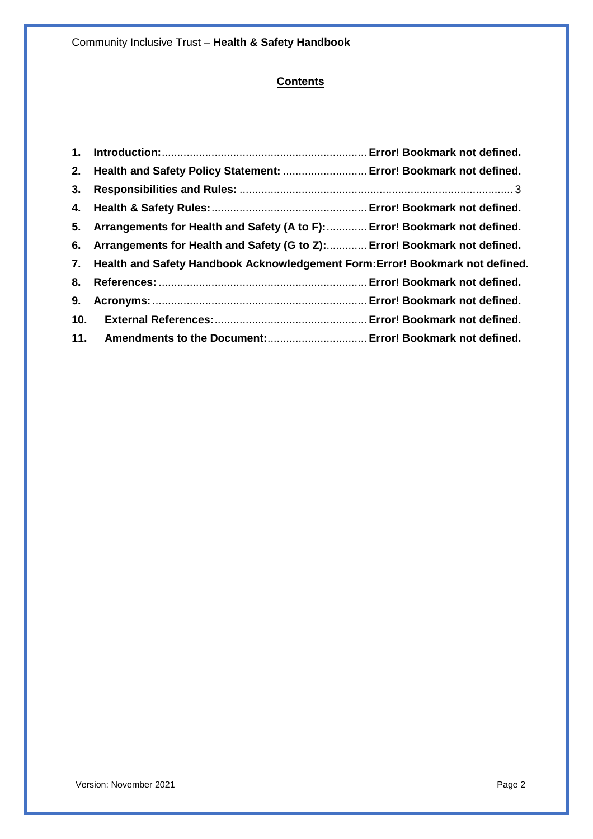# **Contents**

|                 | 2. Health and Safety Policy Statement:  Error! Bookmark not defined.             |  |
|-----------------|----------------------------------------------------------------------------------|--|
| 3.              |                                                                                  |  |
|                 |                                                                                  |  |
| 5.              | Arrangements for Health and Safety (A to F):  Error! Bookmark not defined.       |  |
|                 | 6. Arrangements for Health and Safety (G to Z): Error! Bookmark not defined.     |  |
|                 | 7. Health and Safety Handbook Acknowledgement Form: Error! Bookmark not defined. |  |
|                 |                                                                                  |  |
| 9.              |                                                                                  |  |
| 10 <sub>1</sub> |                                                                                  |  |
|                 | 11. Amendments to the Document: Error! Bookmark not defined.                     |  |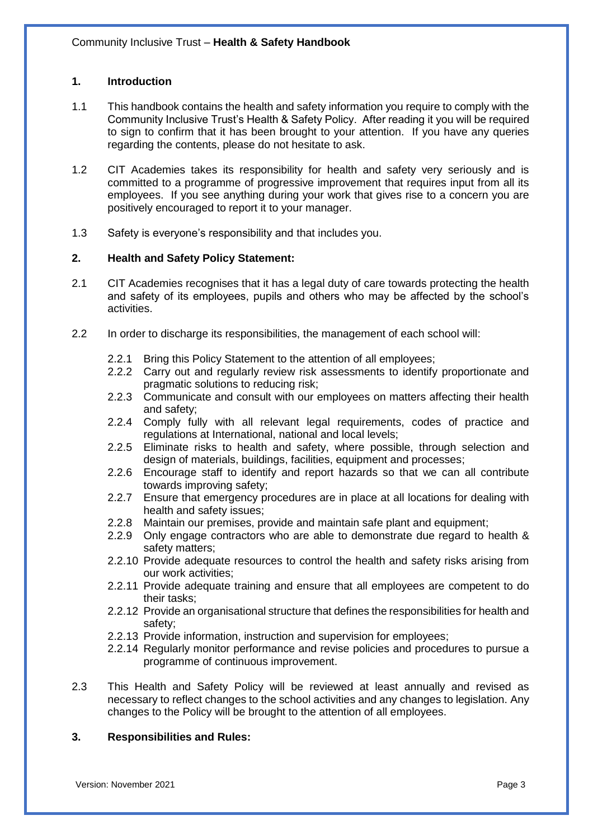#### **1. Introduction**

- 1.1 This handbook contains the health and safety information you require to comply with the Community Inclusive Trust's Health & Safety Policy. After reading it you will be required to sign to confirm that it has been brought to your attention. If you have any queries regarding the contents, please do not hesitate to ask.
- 1.2 CIT Academies takes its responsibility for health and safety very seriously and is committed to a programme of progressive improvement that requires input from all its employees. If you see anything during your work that gives rise to a concern you are positively encouraged to report it to your manager.
- 1.3 Safety is everyone's responsibility and that includes you.

#### **2. Health and Safety Policy Statement:**

- 2.1 CIT Academies recognises that it has a legal duty of care towards protecting the health and safety of its employees, pupils and others who may be affected by the school's activities.
- 2.2 In order to discharge its responsibilities, the management of each school will:
	- 2.2.1 Bring this Policy Statement to the attention of all employees;
	- 2.2.2 Carry out and regularly review risk assessments to identify proportionate and pragmatic solutions to reducing risk;
	- 2.2.3 Communicate and consult with our employees on matters affecting their health and safety;
	- 2.2.4 Comply fully with all relevant legal requirements, codes of practice and regulations at International, national and local levels;
	- 2.2.5 Eliminate risks to health and safety, where possible, through selection and design of materials, buildings, facilities, equipment and processes;
	- 2.2.6 Encourage staff to identify and report hazards so that we can all contribute towards improving safety;
	- 2.2.7 Ensure that emergency procedures are in place at all locations for dealing with health and safety issues;
	- 2.2.8 Maintain our premises, provide and maintain safe plant and equipment;
	- 2.2.9 Only engage contractors who are able to demonstrate due regard to health & safety matters;
	- 2.2.10 Provide adequate resources to control the health and safety risks arising from our work activities;
	- 2.2.11 Provide adequate training and ensure that all employees are competent to do their tasks;
	- 2.2.12 Provide an organisational structure that defines the responsibilities for health and safety;
	- 2.2.13 Provide information, instruction and supervision for employees;
	- 2.2.14 Regularly monitor performance and revise policies and procedures to pursue a programme of continuous improvement.
- 2.3 This Health and Safety Policy will be reviewed at least annually and revised as necessary to reflect changes to the school activities and any changes to legislation. Any changes to the Policy will be brought to the attention of all employees.

## **3. Responsibilities and Rules:**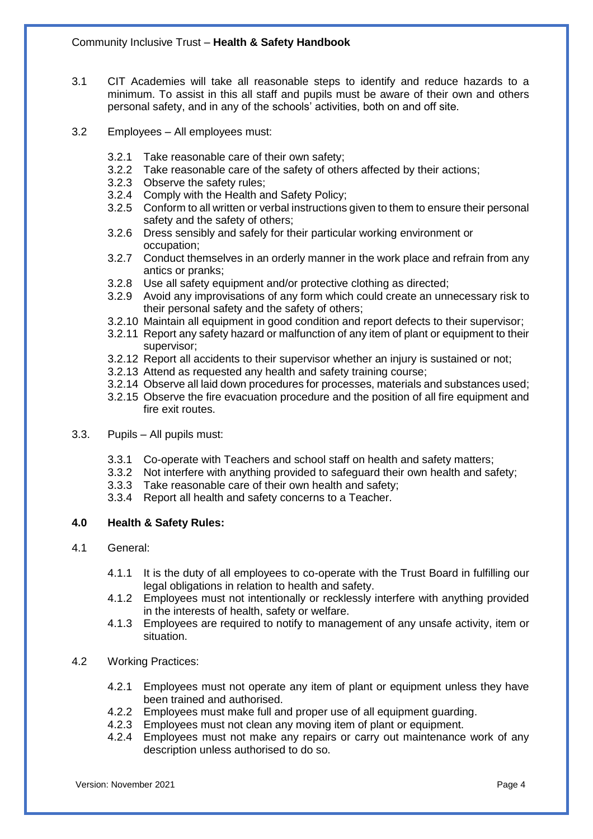- 3.1 CIT Academies will take all reasonable steps to identify and reduce hazards to a minimum. To assist in this all staff and pupils must be aware of their own and others personal safety, and in any of the schools' activities, both on and off site.
- 3.2 Employees All employees must:
	- 3.2.1 Take reasonable care of their own safety;
	- 3.2.2 Take reasonable care of the safety of others affected by their actions;
	- 3.2.3 Observe the safety rules;
	- 3.2.4 Comply with the Health and Safety Policy;
	- 3.2.5 Conform to all written or verbal instructions given to them to ensure their personal safety and the safety of others;
	- 3.2.6 Dress sensibly and safely for their particular working environment or occupation;
	- 3.2.7 Conduct themselves in an orderly manner in the work place and refrain from any antics or pranks;
	- 3.2.8 Use all safety equipment and/or protective clothing as directed;
	- 3.2.9 Avoid any improvisations of any form which could create an unnecessary risk to their personal safety and the safety of others;
	- 3.2.10 Maintain all equipment in good condition and report defects to their supervisor;
	- 3.2.11 Report any safety hazard or malfunction of any item of plant or equipment to their supervisor;
	- 3.2.12 Report all accidents to their supervisor whether an injury is sustained or not;
	- 3.2.13 Attend as requested any health and safety training course;
	- 3.2.14 Observe all laid down procedures for processes, materials and substances used;
	- 3.2.15 Observe the fire evacuation procedure and the position of all fire equipment and fire exit routes.
- 3.3. Pupils All pupils must:
	- 3.3.1 Co-operate with Teachers and school staff on health and safety matters;
	- 3.3.2 Not interfere with anything provided to safeguard their own health and safety;
	- 3.3.3 Take reasonable care of their own health and safety;
	- 3.3.4 Report all health and safety concerns to a Teacher.

#### **4.0 Health & Safety Rules:**

- 4.1 General:
	- 4.1.1 It is the duty of all employees to co-operate with the Trust Board in fulfilling our legal obligations in relation to health and safety.
	- 4.1.2 Employees must not intentionally or recklessly interfere with anything provided in the interests of health, safety or welfare.
	- 4.1.3 Employees are required to notify to management of any unsafe activity, item or situation.
- 4.2 Working Practices:
	- 4.2.1 Employees must not operate any item of plant or equipment unless they have been trained and authorised.
	- 4.2.2 Employees must make full and proper use of all equipment guarding.
	- 4.2.3 Employees must not clean any moving item of plant or equipment.
	- 4.2.4 Employees must not make any repairs or carry out maintenance work of any description unless authorised to do so.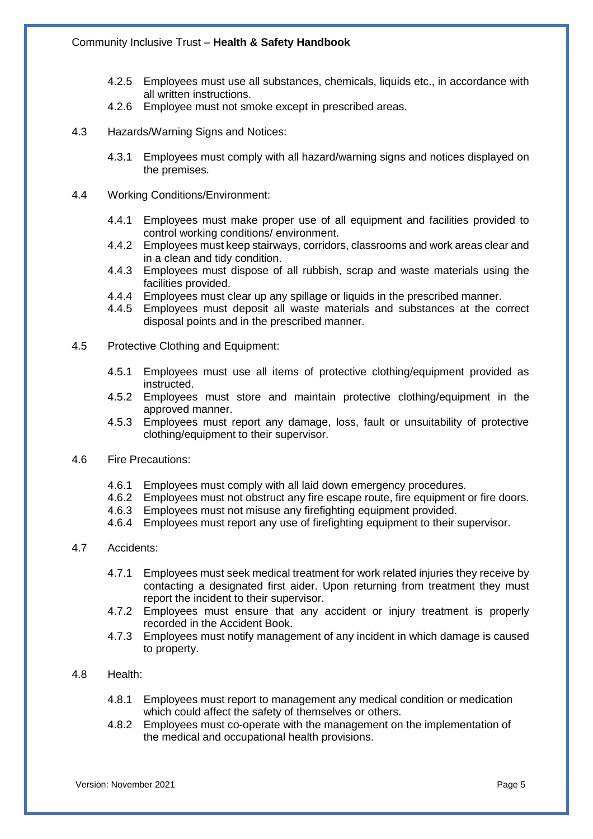- 4.2.5 Employees must use all substances, chemicals, liquids etc., in accordance with all written instructions.
- 4.2.6 Employee must not smoke except in prescribed areas.
- 4.3 Hazards/Warning Signs and Notices:
	- 4.3.1 Employees must comply with all hazard/warning signs and notices displayed on the premises.
- 4.4 Working Conditions/Environment:
	- 4.4.1 Employees must make proper use of all equipment and facilities provided to control working conditions/ environment.
	- 4.4.2 Employees must keep stairways, corridors, classrooms and work areas clear and in a clean and tidy condition.
	- 4.4.3 Employees must dispose of all rubbish, scrap and waste materials using the facilities provided.
	- 4.4.4 Employees must clear up any spillage or liquids in the prescribed manner.
	- 4.4.5 Employees must deposit all waste materials and substances at the correct disposal points and in the prescribed manner.
- 4.5 Protective Clothing and Equipment:
	- 4.5.1 Employees must use all items of protective clothing/equipment provided as instructed.
	- 4.5.2 Employees must store and maintain protective clothing/equipment in the approved manner.
	- 4.5.3 Employees must report any damage, loss, fault or unsuitability of protective clothing/equipment to their supervisor.
- 4.6 Fire Precautions:
	- 4.6.1 Employees must comply with all laid down emergency procedures.
	- 4.6.2 Employees must not obstruct any fire escape route, fire equipment or fire doors.
	- 4.6.3 Employees must not misuse any firefighting equipment provided.
	- 4.6.4 Employees must report any use of firefighting equipment to their supervisor.
- 4.7 Accidents:
	- 4.7.1 Employees must seek medical treatment for work related injuries they receive by contacting a designated first aider. Upon returning from treatment they must report the incident to their supervisor.
	- 4.7.2 Employees must ensure that any accident or injury treatment is properly recorded in the Accident Book.
	- 4.7.3 Employees must notify management of any incident in which damage is caused to property.
- 4.8 Health:
	- 4.8.1 Employees must report to management any medical condition or medication which could affect the safety of themselves or others.
	- 4.8.2 Employees must co-operate with the management on the implementation of the medical and occupational health provisions.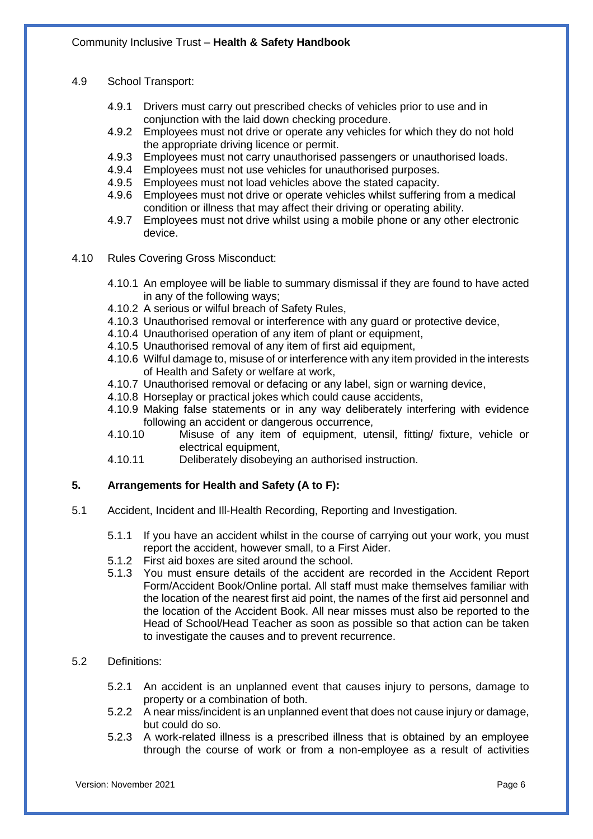- 4.9 School Transport:
	- 4.9.1 Drivers must carry out prescribed checks of vehicles prior to use and in conjunction with the laid down checking procedure.
	- 4.9.2 Employees must not drive or operate any vehicles for which they do not hold the appropriate driving licence or permit.
	- 4.9.3 Employees must not carry unauthorised passengers or unauthorised loads.
	- 4.9.4 Employees must not use vehicles for unauthorised purposes.<br>4.9.5 Employees must not load vehicles above the stated capacity.
	- 4.9.5 Employees must not load vehicles above the stated capacity.<br>4.9.6 Employees must not drive or operate vehicles whilst suffering
	- 4.9.6 Employees must not drive or operate vehicles whilst suffering from a medical condition or illness that may affect their driving or operating ability.
	- 4.9.7 Employees must not drive whilst using a mobile phone or any other electronic device.
- 4.10 Rules Covering Gross Misconduct:
	- 4.10.1 An employee will be liable to summary dismissal if they are found to have acted in any of the following ways;
	- 4.10.2 A serious or wilful breach of Safety Rules,
	- 4.10.3 Unauthorised removal or interference with any guard or protective device,
	- 4.10.4 Unauthorised operation of any item of plant or equipment,
	- 4.10.5 Unauthorised removal of any item of first aid equipment,
	- 4.10.6 Wilful damage to, misuse of or interference with any item provided in the interests of Health and Safety or welfare at work,
	- 4.10.7 Unauthorised removal or defacing or any label, sign or warning device,
	- 4.10.8 Horseplay or practical jokes which could cause accidents,
	- 4.10.9 Making false statements or in any way deliberately interfering with evidence following an accident or dangerous occurrence,
	- 4.10.10 Misuse of any item of equipment, utensil, fitting/ fixture, vehicle or electrical equipment,
	- 4.10.11 Deliberately disobeying an authorised instruction.

#### **5. Arrangements for Health and Safety (A to F):**

- 5.1 Accident, Incident and Ill-Health Recording, Reporting and Investigation.
	- 5.1.1 If you have an accident whilst in the course of carrying out your work, you must report the accident, however small, to a First Aider.
	- 5.1.2 First aid boxes are sited around the school.
	- 5.1.3 You must ensure details of the accident are recorded in the Accident Report Form/Accident Book/Online portal. All staff must make themselves familiar with the location of the nearest first aid point, the names of the first aid personnel and the location of the Accident Book. All near misses must also be reported to the Head of School/Head Teacher as soon as possible so that action can be taken to investigate the causes and to prevent recurrence.

#### 5.2 Definitions:

- 5.2.1 An accident is an unplanned event that causes injury to persons, damage to property or a combination of both.
- 5.2.2 A near miss/incident is an unplanned event that does not cause injury or damage, but could do so.
- 5.2.3 A work-related illness is a prescribed illness that is obtained by an employee through the course of work or from a non-employee as a result of activities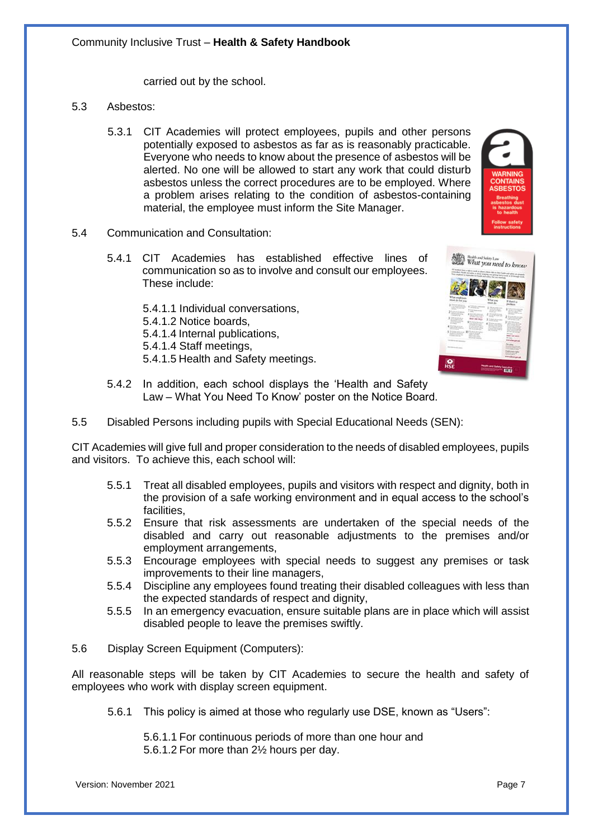carried out by the school.

- 5.3 Asbestos:
	- 5.3.1 CIT Academies will protect employees, pupils and other persons potentially exposed to asbestos as far as is reasonably practicable. Everyone who needs to know about the presence of asbestos will be alerted. No one will be allowed to start any work that could disturb asbestos unless the correct procedures are to be employed. Where a problem arises relating to the condition of asbestos-containing material, the employee must inform the Site Manager.
- 5.4 Communication and Consultation:
	- 5.4.1 CIT Academies has established effective lines of communication so as to involve and consult our employees. These include:
		- 5.4.1.1 Individual conversations, 5.4.1.2 Notice boards,
		- 5.4.1.4 Internal publications,
		- 5.4.1.4 Staff meetings,
		- 5.4.1.5 Health and Safety meetings.



- 5.4.2 In addition, each school displays the 'Health and Safety Law – What You Need To Know' poster on the Notice Board.
- 5.5 Disabled Persons including pupils with Special Educational Needs (SEN):

CIT Academies will give full and proper consideration to the needs of disabled employees, pupils and visitors. To achieve this, each school will:

- 5.5.1 Treat all disabled employees, pupils and visitors with respect and dignity, both in the provision of a safe working environment and in equal access to the school's facilities,
- 5.5.2 Ensure that risk assessments are undertaken of the special needs of the disabled and carry out reasonable adjustments to the premises and/or employment arrangements,
- 5.5.3 Encourage employees with special needs to suggest any premises or task improvements to their line managers,
- 5.5.4 Discipline any employees found treating their disabled colleagues with less than the expected standards of respect and dignity,
- 5.5.5 In an emergency evacuation, ensure suitable plans are in place which will assist disabled people to leave the premises swiftly.
- 5.6 Display Screen Equipment (Computers):

All reasonable steps will be taken by CIT Academies to secure the health and safety of employees who work with display screen equipment.

5.6.1 This policy is aimed at those who regularly use DSE, known as "Users":

5.6.1.1 For continuous periods of more than one hour and 5.6.1.2 For more than 2½ hours per day.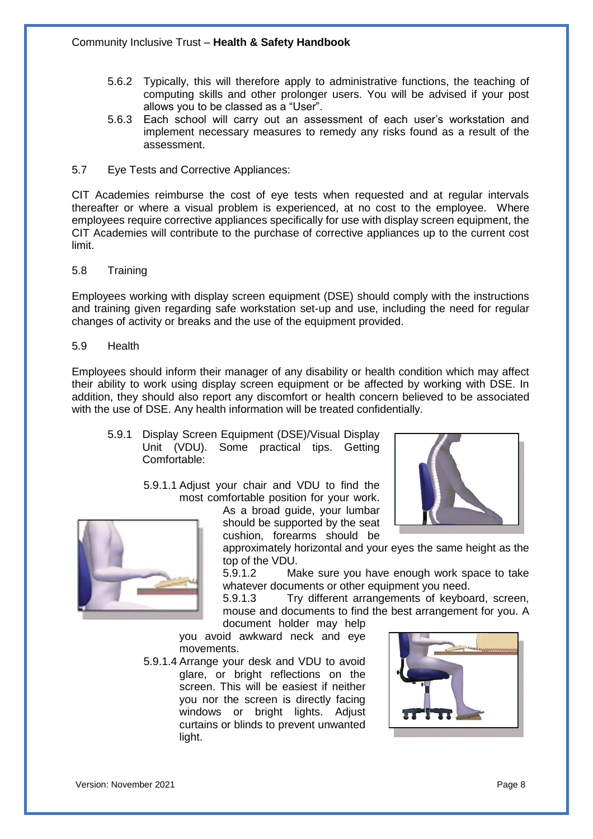- 5.6.2 Typically, this will therefore apply to administrative functions, the teaching of computing skills and other prolonger users. You will be advised if your post allows you to be classed as a "User".
- 5.6.3 Each school will carry out an assessment of each user's workstation and implement necessary measures to remedy any risks found as a result of the assessment.
- 5.7 Eye Tests and Corrective Appliances:

CIT Academies reimburse the cost of eye tests when requested and at regular intervals thereafter or where a visual problem is experienced, at no cost to the employee. Where employees require corrective appliances specifically for use with display screen equipment, the CIT Academies will contribute to the purchase of corrective appliances up to the current cost limit.

#### 5.8 Training

Employees working with display screen equipment (DSE) should comply with the instructions and training given regarding safe workstation set-up and use, including the need for regular changes of activity or breaks and the use of the equipment provided.

5.9 Health

Employees should inform their manager of any disability or health condition which may affect their ability to work using display screen equipment or be affected by working with DSE. In addition, they should also report any discomfort or health concern believed to be associated with the use of DSE. Any health information will be treated confidentially.

- 5.9.1 Display Screen Equipment (DSE)/Visual Display Unit (VDU). Some practical tips. Getting Comfortable:
	- 5.9.1.1 Adjust your chair and VDU to find the most comfortable position for your work.

As a broad guide, your lumbar should be supported by the seat cushion, forearms should be





approximately horizontal and your eyes the same height as the top of the VDU.

5.9.1.2 Make sure you have enough work space to take whatever documents or other equipment you need.

5.9.1.3 Try different arrangements of keyboard, screen, mouse and documents to find the best arrangement for you. A document holder may help

you avoid awkward neck and eye movements.

5.9.1.4 Arrange your desk and VDU to avoid glare, or bright reflections on the screen. This will be easiest if neither you nor the screen is directly facing windows or bright lights. Adjust curtains or blinds to prevent unwanted light.

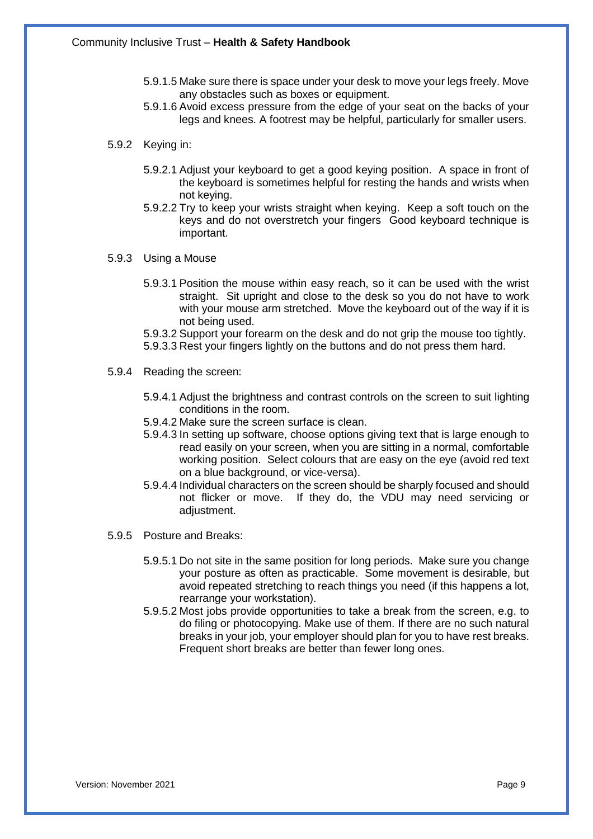- 5.9.1.5 Make sure there is space under your desk to move your legs freely. Move any obstacles such as boxes or equipment.
- 5.9.1.6 Avoid excess pressure from the edge of your seat on the backs of your legs and knees. A footrest may be helpful, particularly for smaller users.
- 5.9.2 Keying in:
	- 5.9.2.1 Adjust your keyboard to get a good keying position. A space in front of the keyboard is sometimes helpful for resting the hands and wrists when not keying.
	- 5.9.2.2 Try to keep your wrists straight when keying. Keep a soft touch on the keys and do not overstretch your fingers Good keyboard technique is important.
- 5.9.3 Using a Mouse
	- 5.9.3.1 Position the mouse within easy reach, so it can be used with the wrist straight. Sit upright and close to the desk so you do not have to work with your mouse arm stretched. Move the keyboard out of the way if it is not being used.
	- 5.9.3.2 Support your forearm on the desk and do not grip the mouse too tightly.
	- 5.9.3.3 Rest your fingers lightly on the buttons and do not press them hard.
- 5.9.4 Reading the screen:
	- 5.9.4.1 Adjust the brightness and contrast controls on the screen to suit lighting conditions in the room.
	- 5.9.4.2 Make sure the screen surface is clean.
	- 5.9.4.3 In setting up software, choose options giving text that is large enough to read easily on your screen, when you are sitting in a normal, comfortable working position. Select colours that are easy on the eye (avoid red text on a blue background, or vice-versa).
	- 5.9.4.4 Individual characters on the screen should be sharply focused and should not flicker or move. If they do, the VDU may need servicing or adjustment.
- 5.9.5 Posture and Breaks:
	- 5.9.5.1 Do not site in the same position for long periods. Make sure you change your posture as often as practicable. Some movement is desirable, but avoid repeated stretching to reach things you need (if this happens a lot, rearrange your workstation).
	- 5.9.5.2 Most jobs provide opportunities to take a break from the screen, e.g. to do filing or photocopying. Make use of them. If there are no such natural breaks in your job, your employer should plan for you to have rest breaks. Frequent short breaks are better than fewer long ones.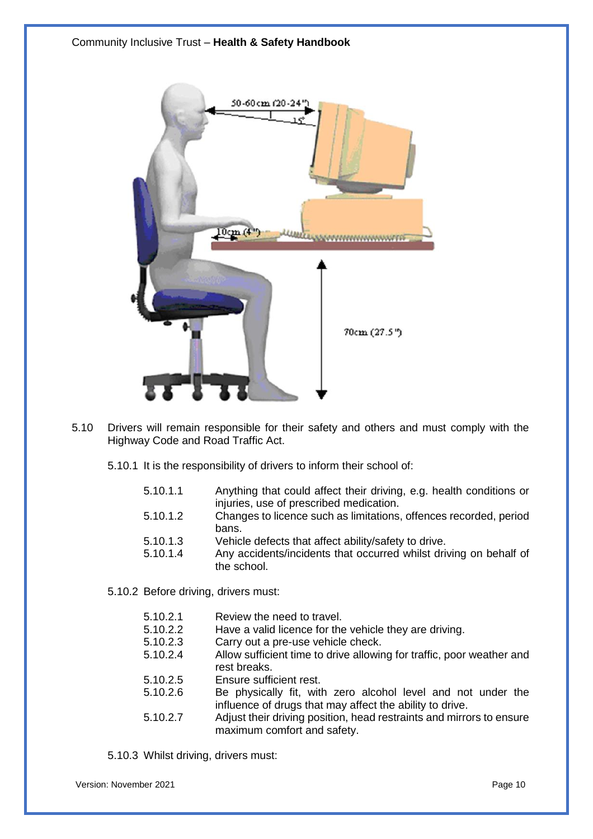

- 5.10 Drivers will remain responsible for their safety and others and must comply with the Highway Code and Road Traffic Act.
	- 5.10.1 It is the responsibility of drivers to inform their school of:
		- 5.10.1.1 Anything that could affect their driving, e.g. health conditions or injuries, use of prescribed medication.
		- 5.10.1.2 Changes to licence such as limitations, offences recorded, period bans.
		- 5.10.1.3 Vehicle defects that affect ability/safety to drive.
		- 5.10.1.4 Any accidents/incidents that occurred whilst driving on behalf of the school.

5.10.2 Before driving, drivers must:

- 5.10.2.1 Review the need to travel.
- 5.10.2.2 Have a valid licence for the vehicle they are driving.
- 5.10.2.3 Carry out a pre-use vehicle check.
- 5.10.2.4 Allow sufficient time to drive allowing for traffic, poor weather and rest breaks.
- 5.10.2.5 Ensure sufficient rest.
- 5.10.2.6 Be physically fit, with zero alcohol level and not under the influence of drugs that may affect the ability to drive.
- 5.10.2.7 Adjust their driving position, head restraints and mirrors to ensure maximum comfort and safety.

5.10.3 Whilst driving, drivers must:

Version: November 2021 **Page 10** Page 10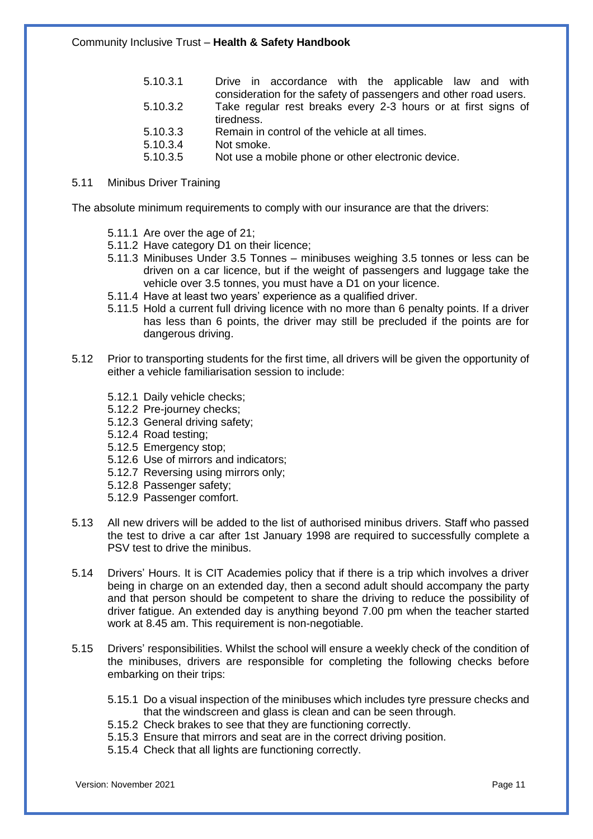#### 5.11 Minibus Driver Training

The absolute minimum requirements to comply with our insurance are that the drivers:

- 5.11.1 Are over the age of 21;
- 5.11.2 Have category D1 on their licence;
- 5.11.3 Minibuses Under 3.5 Tonnes minibuses weighing 3.5 tonnes or less can be driven on a car licence, but if the weight of passengers and luggage take the vehicle over 3.5 tonnes, you must have a D1 on your licence.
- 5.11.4 Have at least two years' experience as a qualified driver.
- 5.11.5 Hold a current full driving licence with no more than 6 penalty points. If a driver has less than 6 points, the driver may still be precluded if the points are for dangerous driving.
- 5.12 Prior to transporting students for the first time, all drivers will be given the opportunity of either a vehicle familiarisation session to include:
	- 5.12.1 Daily vehicle checks;
	- 5.12.2 Pre-journey checks;
	- 5.12.3 General driving safety;
	- 5.12.4 Road testing;
	- 5.12.5 Emergency stop;
	- 5.12.6 Use of mirrors and indicators;
	- 5.12.7 Reversing using mirrors only;
	- 5.12.8 Passenger safety;
	- 5.12.9 Passenger comfort.
- 5.13 All new drivers will be added to the list of authorised minibus drivers. Staff who passed the test to drive a car after 1st January 1998 are required to successfully complete a PSV test to drive the minibus.
- 5.14 Drivers' Hours. It is CIT Academies policy that if there is a trip which involves a driver being in charge on an extended day, then a second adult should accompany the party and that person should be competent to share the driving to reduce the possibility of driver fatigue. An extended day is anything beyond 7.00 pm when the teacher started work at 8.45 am. This requirement is non-negotiable.
- 5.15 Drivers' responsibilities. Whilst the school will ensure a weekly check of the condition of the minibuses, drivers are responsible for completing the following checks before embarking on their trips:
	- 5.15.1 Do a visual inspection of the minibuses which includes tyre pressure checks and that the windscreen and glass is clean and can be seen through.
	- 5.15.2 Check brakes to see that they are functioning correctly.
	- 5.15.3 Ensure that mirrors and seat are in the correct driving position.
	- 5.15.4 Check that all lights are functioning correctly.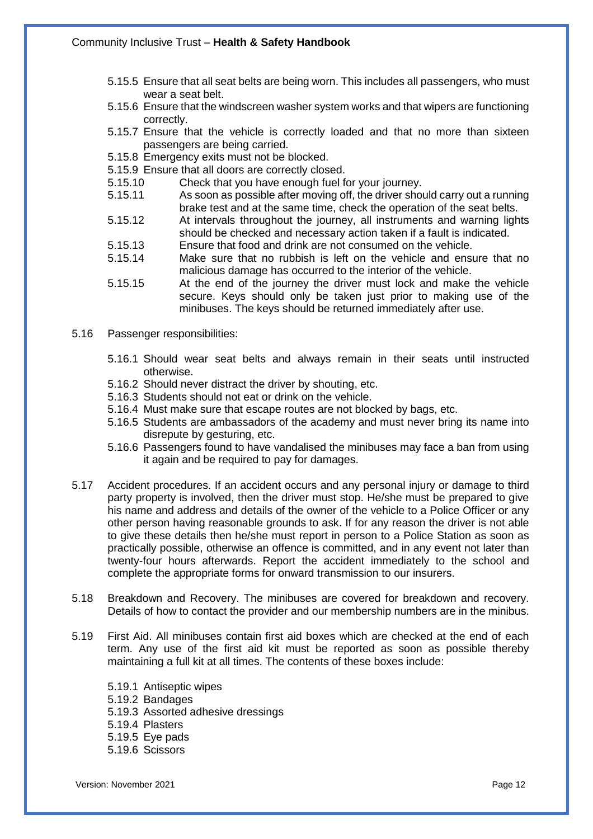- 5.15.5 Ensure that all seat belts are being worn. This includes all passengers, who must wear a seat belt.
- 5.15.6 Ensure that the windscreen washer system works and that wipers are functioning correctly.
- 5.15.7 Ensure that the vehicle is correctly loaded and that no more than sixteen passengers are being carried.
- 5.15.8 Emergency exits must not be blocked.
- 5.15.9 Ensure that all doors are correctly closed.<br>5.15.10 Check that you have enough fuel for
- 5.15.10 Check that you have enough fuel for your journey.<br>5.15.11 As soon as possible after moving off, the driver sho
- As soon as possible after moving off, the driver should carry out a running brake test and at the same time, check the operation of the seat belts.
- 5.15.12 At intervals throughout the journey, all instruments and warning lights should be checked and necessary action taken if a fault is indicated.
- 5.15.13 Ensure that food and drink are not consumed on the vehicle.
- 5.15.14 Make sure that no rubbish is left on the vehicle and ensure that no malicious damage has occurred to the interior of the vehicle.
- 5.15.15 At the end of the journey the driver must lock and make the vehicle secure. Keys should only be taken just prior to making use of the minibuses. The keys should be returned immediately after use.
- 5.16 Passenger responsibilities:
	- 5.16.1 Should wear seat belts and always remain in their seats until instructed otherwise.
	- 5.16.2 Should never distract the driver by shouting, etc.
	- 5.16.3 Students should not eat or drink on the vehicle.
	- 5.16.4 Must make sure that escape routes are not blocked by bags, etc.
	- 5.16.5 Students are ambassadors of the academy and must never bring its name into disrepute by gesturing, etc.
	- 5.16.6 Passengers found to have vandalised the minibuses may face a ban from using it again and be required to pay for damages.
- 5.17 Accident procedures. If an accident occurs and any personal injury or damage to third party property is involved, then the driver must stop. He/she must be prepared to give his name and address and details of the owner of the vehicle to a Police Officer or any other person having reasonable grounds to ask. If for any reason the driver is not able to give these details then he/she must report in person to a Police Station as soon as practically possible, otherwise an offence is committed, and in any event not later than twenty-four hours afterwards. Report the accident immediately to the school and complete the appropriate forms for onward transmission to our insurers.
- 5.18 Breakdown and Recovery. The minibuses are covered for breakdown and recovery. Details of how to contact the provider and our membership numbers are in the minibus.
- 5.19 First Aid. All minibuses contain first aid boxes which are checked at the end of each term. Any use of the first aid kit must be reported as soon as possible thereby maintaining a full kit at all times. The contents of these boxes include:
	- 5.19.1 Antiseptic wipes 5.19.2 Bandages 5.19.3 Assorted adhesive dressings 5.19.4 Plasters 5.19.5 Eye pads 5.19.6 Scissors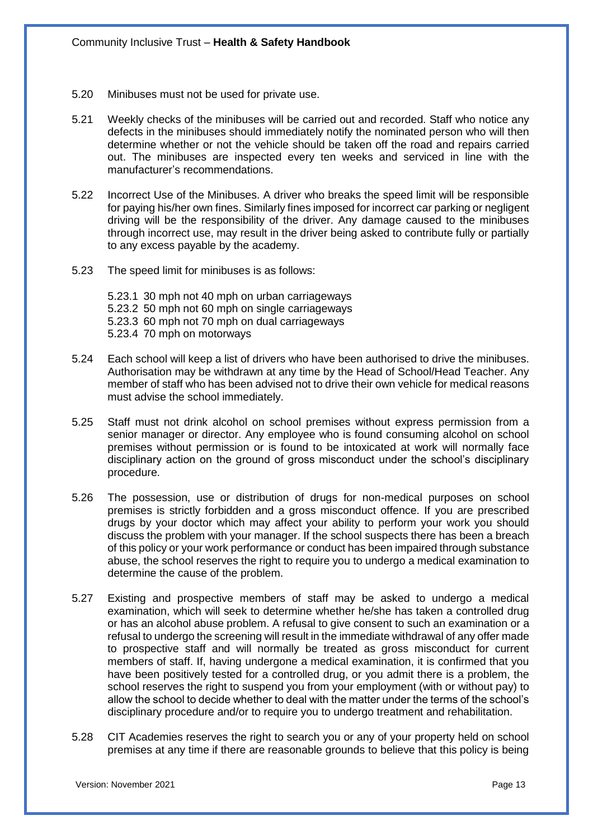- 5.20 Minibuses must not be used for private use.
- 5.21 Weekly checks of the minibuses will be carried out and recorded. Staff who notice any defects in the minibuses should immediately notify the nominated person who will then determine whether or not the vehicle should be taken off the road and repairs carried out. The minibuses are inspected every ten weeks and serviced in line with the manufacturer's recommendations.
- 5.22 Incorrect Use of the Minibuses. A driver who breaks the speed limit will be responsible for paying his/her own fines. Similarly fines imposed for incorrect car parking or negligent driving will be the responsibility of the driver. Any damage caused to the minibuses through incorrect use, may result in the driver being asked to contribute fully or partially to any excess payable by the academy.
- 5.23 The speed limit for minibuses is as follows:

5.23.1 30 mph not 40 mph on urban carriageways 5.23.2 50 mph not 60 mph on single carriageways 5.23.3 60 mph not 70 mph on dual carriageways 5.23.4 70 mph on motorways

- 5.24 Each school will keep a list of drivers who have been authorised to drive the minibuses. Authorisation may be withdrawn at any time by the Head of School/Head Teacher. Any member of staff who has been advised not to drive their own vehicle for medical reasons must advise the school immediately.
- 5.25 Staff must not drink alcohol on school premises without express permission from a senior manager or director. Any employee who is found consuming alcohol on school premises without permission or is found to be intoxicated at work will normally face disciplinary action on the ground of gross misconduct under the school's disciplinary procedure.
- 5.26 The possession, use or distribution of drugs for non-medical purposes on school premises is strictly forbidden and a gross misconduct offence. If you are prescribed drugs by your doctor which may affect your ability to perform your work you should discuss the problem with your manager. If the school suspects there has been a breach of this policy or your work performance or conduct has been impaired through substance abuse, the school reserves the right to require you to undergo a medical examination to determine the cause of the problem.
- 5.27 Existing and prospective members of staff may be asked to undergo a medical examination, which will seek to determine whether he/she has taken a controlled drug or has an alcohol abuse problem. A refusal to give consent to such an examination or a refusal to undergo the screening will result in the immediate withdrawal of any offer made to prospective staff and will normally be treated as gross misconduct for current members of staff. If, having undergone a medical examination, it is confirmed that you have been positively tested for a controlled drug, or you admit there is a problem, the school reserves the right to suspend you from your employment (with or without pay) to allow the school to decide whether to deal with the matter under the terms of the school's disciplinary procedure and/or to require you to undergo treatment and rehabilitation.
- 5.28 CIT Academies reserves the right to search you or any of your property held on school premises at any time if there are reasonable grounds to believe that this policy is being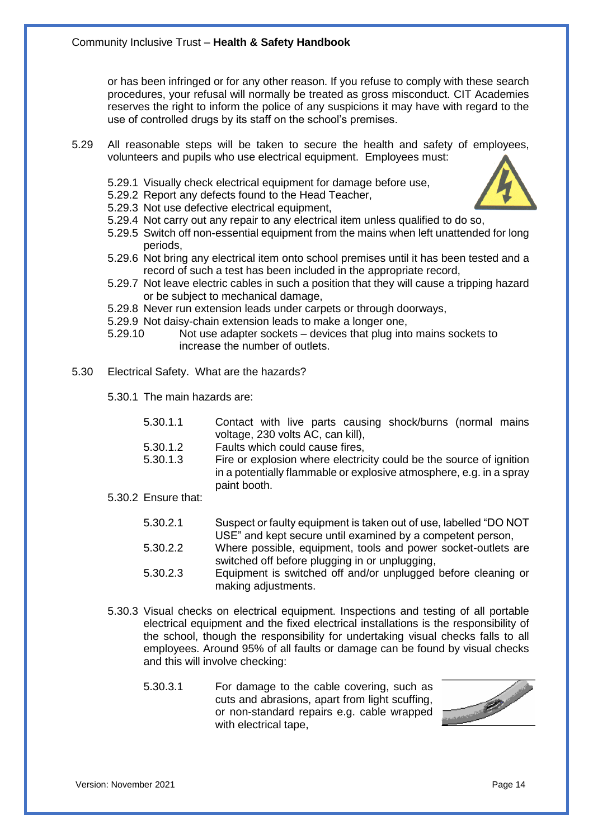or has been infringed or for any other reason. If you refuse to comply with these search procedures, your refusal will normally be treated as gross misconduct. CIT Academies reserves the right to inform the police of any suspicions it may have with regard to the use of controlled drugs by its staff on the school's premises.

- 5.29 All reasonable steps will be taken to secure the health and safety of employees, volunteers and pupils who use electrical equipment. Employees must:
	- 5.29.1 Visually check electrical equipment for damage before use,
	- 5.29.2 Report any defects found to the Head Teacher,
	- 5.29.3 Not use defective electrical equipment,
	- 5.29.4 Not carry out any repair to any electrical item unless qualified to do so,
	- 5.29.5 Switch off non-essential equipment from the mains when left unattended for long periods,
	- 5.29.6 Not bring any electrical item onto school premises until it has been tested and a record of such a test has been included in the appropriate record,
	- 5.29.7 Not leave electric cables in such a position that they will cause a tripping hazard or be subject to mechanical damage,
	- 5.29.8 Never run extension leads under carpets or through doorways,
	- 5.29.9 Not daisy-chain extension leads to make a longer one,
	- 5.29.10 Not use adapter sockets devices that plug into mains sockets to increase the number of outlets.
- 5.30 Electrical Safety. What are the hazards?
	- 5.30.1 The main hazards are:
		- 5.30.1.1 Contact with live parts causing shock/burns (normal mains voltage, 230 volts AC, can kill),
		- 5.30.1.2 Faults which could cause fires,
		- 5.30.1.3 Fire or explosion where electricity could be the source of ignition in a potentially flammable or explosive atmosphere, e.g. in a spray paint booth.
	- 5.30.2 Ensure that:
		- 5.30.2.1 Suspect or faulty equipment is taken out of use, labelled "DO NOT USE" and kept secure until examined by a competent person,
		- 5.30.2.2 Where possible, equipment, tools and power socket-outlets are switched off before plugging in or unplugging,
		- 5.30.2.3 Equipment is switched off and/or unplugged before cleaning or making adjustments.
	- 5.30.3 Visual checks on electrical equipment. Inspections and testing of all portable electrical equipment and the fixed electrical installations is the responsibility of the school, though the responsibility for undertaking visual checks falls to all employees. Around 95% of all faults or damage can be found by visual checks and this will involve checking:
		- 5.30.3.1 For damage to the cable covering, such as cuts and abrasions, apart from light scuffing, or non-standard repairs e.g. cable wrapped with electrical tape,

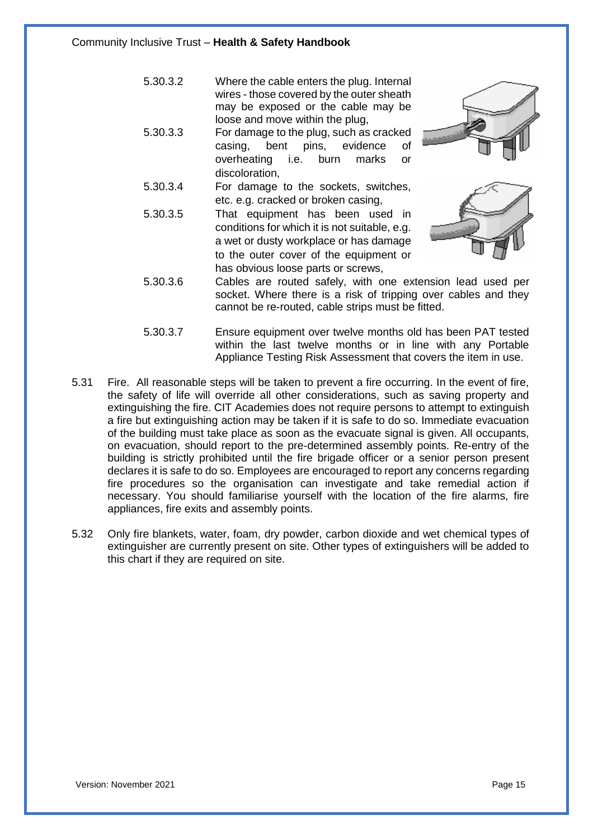- 5.30.3.2 Where the cable enters the plug. Internal wires - those covered by the outer sheath may be exposed or the cable may be loose and move within the plug,
- 5.30.3.3 For damage to the plug, such as cracked casing, bent pins, evidence of overheating i.e. burn marks or discoloration,
- 5.30.3.4 For damage to the sockets, switches, etc. e.g. cracked or broken casing,
- 5.30.3.5 That equipment has been used in conditions for which it is not suitable, e.g. a wet or dusty workplace or has damage to the outer cover of the equipment or has obvious loose parts or screws,





- 5.30.3.6 Cables are routed safely, with one extension lead used per socket. Where there is a risk of tripping over cables and they cannot be re-routed, cable strips must be fitted.
- 5.30.3.7 Ensure equipment over twelve months old has been PAT tested within the last twelve months or in line with any Portable Appliance Testing Risk Assessment that covers the item in use.
- 5.31 Fire. All reasonable steps will be taken to prevent a fire occurring. In the event of fire, the safety of life will override all other considerations, such as saving property and extinguishing the fire. CIT Academies does not require persons to attempt to extinguish a fire but extinguishing action may be taken if it is safe to do so. Immediate evacuation of the building must take place as soon as the evacuate signal is given. All occupants, on evacuation, should report to the pre-determined assembly points. Re-entry of the building is strictly prohibited until the fire brigade officer or a senior person present declares it is safe to do so. Employees are encouraged to report any concerns regarding fire procedures so the organisation can investigate and take remedial action if necessary. You should familiarise yourself with the location of the fire alarms, fire appliances, fire exits and assembly points.
- 5.32 Only fire blankets, water, foam, dry powder, carbon dioxide and wet chemical types of extinguisher are currently present on site. Other types of extinguishers will be added to this chart if they are required on site.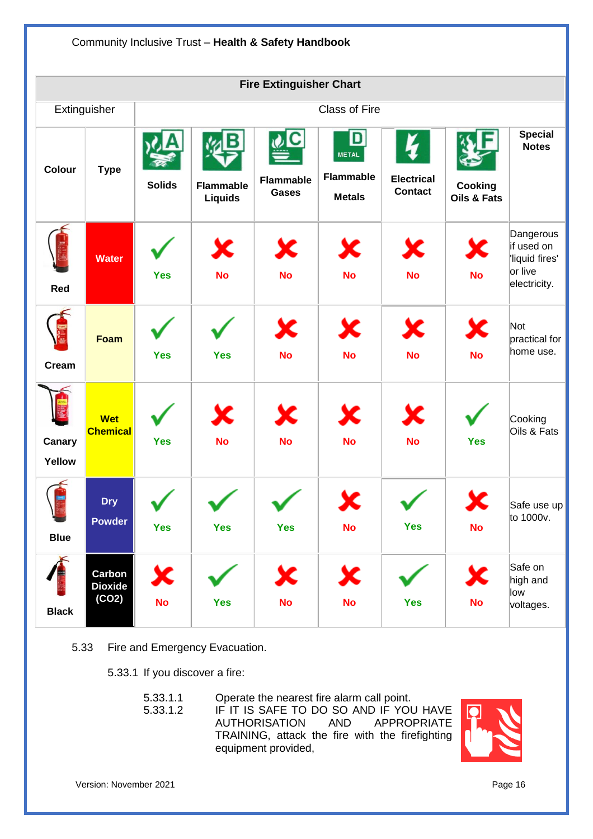

- 5.33 Fire and Emergency Evacuation.
	- 5.33.1 If you discover a fire:

| 5.33.1.1 | Operate the nearest fire alarm call point.      |  |  |
|----------|-------------------------------------------------|--|--|
| 5.33.1.2 | IF IT IS SAFE TO DO SO AND IF YOU HAVE          |  |  |
|          | AUTHORISATION AND APPROPRIATE                   |  |  |
|          | TRAINING, attack the fire with the firefighting |  |  |
|          | equipment provided,                             |  |  |

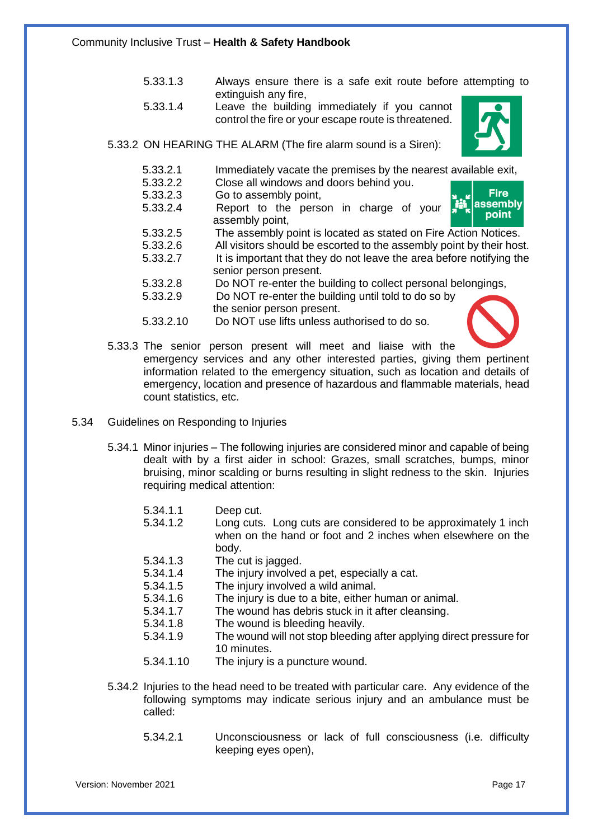- 5.33.1.3 Always ensure there is a safe exit route before attempting to extinguish any fire,
- 5.33.1.4 Leave the building immediately if you cannot control the fire or your escape route is threatened.



- 5.33.2 ON HEARING THE ALARM (The fire alarm sound is a Siren):
	- 5.33.2.1 Immediately vacate the premises by the nearest available exit,<br>5.33.2.2 Close all windows and doors behind you.
	- 5.33.2.2 Close all windows and doors behind you.<br>5.33.2.3 Go to assembly point. Go to assembly point,
	- 5.33.2.4 Report to the person in charge of your assembly point,



- 5.33.2.5 The assembly point is located as stated on Fire Action Notices.
- 5.33.2.6 All visitors should be escorted to the assembly point by their host.
- 5.33.2.7 It is important that they do not leave the area before notifying the senior person present.
- 5.33.2.8 Do NOT re-enter the building to collect personal belongings,
- 5.33.2.9 Do NOT re-enter the building until told to do so by the senior person present.
- 5.33.2.10 Do NOT use lifts unless authorised to do so.



5.33.3 The senior person present will meet and liaise with the

emergency services and any other interested parties, giving them pertinent information related to the emergency situation, such as location and details of emergency, location and presence of hazardous and flammable materials, head count statistics, etc.

- 5.34 Guidelines on Responding to Injuries
	- 5.34.1 Minor injuries The following injuries are considered minor and capable of being dealt with by a first aider in school: Grazes, small scratches, bumps, minor bruising, minor scalding or burns resulting in slight redness to the skin. Injuries requiring medical attention:
		- 5.34.1.1 Deep cut.
		- 5.34.1.2 Long cuts. Long cuts are considered to be approximately 1 inch when on the hand or foot and 2 inches when elsewhere on the body.
		- 5.34.1.3 The cut is jagged.
		- 5.34.1.4 The injury involved a pet, especially a cat.
		- 5.34.1.5 The injury involved a wild animal.
		- 5.34.1.6 The injury is due to a bite, either human or animal.
		- 5.34.1.7 The wound has debris stuck in it after cleansing.
		- 5.34.1.8 The wound is bleeding heavily.
		- 5.34.1.9 The wound will not stop bleeding after applying direct pressure for 10 minutes.
		- 5.34.1.10 The injury is a puncture wound.
	- 5.34.2 Injuries to the head need to be treated with particular care. Any evidence of the following symptoms may indicate serious injury and an ambulance must be called:
		- 5.34.2.1 Unconsciousness or lack of full consciousness (i.e. difficulty keeping eyes open),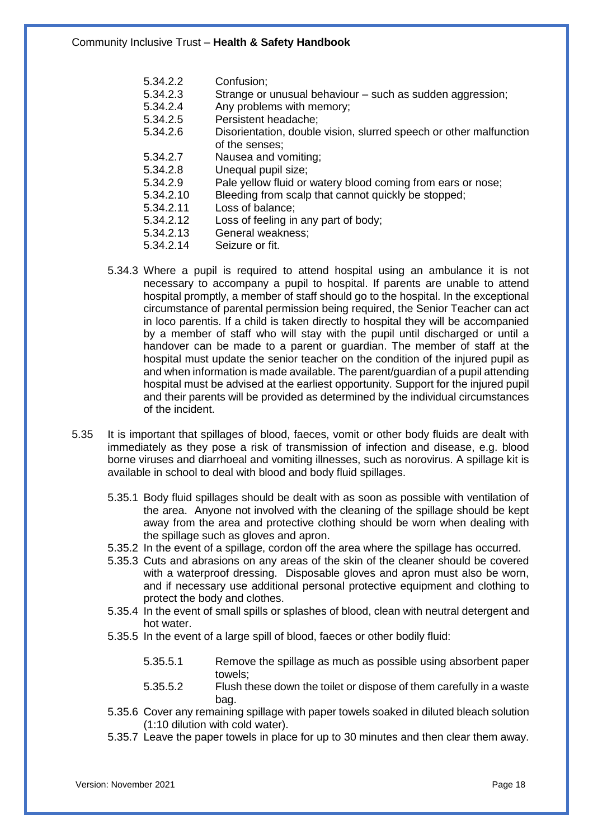- 5.34.2.2 Confusion;<br>5.34.2.3 Strange or
- 5.34.2.3 Strange or unusual behaviour such as sudden aggression;<br>5.34.2.4 Any problems with memory:
- 5.34.2.4 Any problems with memory;<br>5.34.2.5 Persistent headache:
- Persistent headache;
- 5.34.2.6 Disorientation, double vision, slurred speech or other malfunction of the senses;
- 5.34.2.7 Nausea and vomiting;
- 5.34.2.8 Unequal pupil size;<br>5.34.2.9 Pale vellow fluid or
- 5.34.2.9 Pale yellow fluid or watery blood coming from ears or nose;<br>5.34.2.10 Bleeding from scalp that cannot quickly be stopped:
	- Bleeding from scalp that cannot quickly be stopped;
- 5.34.2.11 Loss of balance;
- 5.34.2.12 Loss of feeling in any part of body;
- 5.34.2.13 General weakness;
- 5.34.2.14 Seizure or fit.
- 5.34.3 Where a pupil is required to attend hospital using an ambulance it is not necessary to accompany a pupil to hospital. If parents are unable to attend hospital promptly, a member of staff should go to the hospital. In the exceptional circumstance of parental permission being required, the Senior Teacher can act in loco parentis. If a child is taken directly to hospital they will be accompanied by a member of staff who will stay with the pupil until discharged or until a handover can be made to a parent or guardian. The member of staff at the hospital must update the senior teacher on the condition of the injured pupil as and when information is made available. The parent/guardian of a pupil attending hospital must be advised at the earliest opportunity. Support for the injured pupil and their parents will be provided as determined by the individual circumstances of the incident.
- 5.35 It is important that spillages of blood, faeces, vomit or other body fluids are dealt with immediately as they pose a risk of transmission of infection and disease, e.g. blood borne viruses and diarrhoeal and vomiting illnesses, such as norovirus. A spillage kit is available in school to deal with blood and body fluid spillages.
	- 5.35.1 Body fluid spillages should be dealt with as soon as possible with ventilation of the area. Anyone not involved with the cleaning of the spillage should be kept away from the area and protective clothing should be worn when dealing with the spillage such as gloves and apron.
	- 5.35.2 In the event of a spillage, cordon off the area where the spillage has occurred.
	- 5.35.3 Cuts and abrasions on any areas of the skin of the cleaner should be covered with a waterproof dressing. Disposable gloves and apron must also be worn, and if necessary use additional personal protective equipment and clothing to protect the body and clothes.
	- 5.35.4 In the event of small spills or splashes of blood, clean with neutral detergent and hot water.
	- 5.35.5 In the event of a large spill of blood, faeces or other bodily fluid:
		- 5.35.5.1 Remove the spillage as much as possible using absorbent paper towels;
		- 5.35.5.2 Flush these down the toilet or dispose of them carefully in a waste bag.
	- 5.35.6 Cover any remaining spillage with paper towels soaked in diluted bleach solution (1:10 dilution with cold water).
	- 5.35.7 Leave the paper towels in place for up to 30 minutes and then clear them away.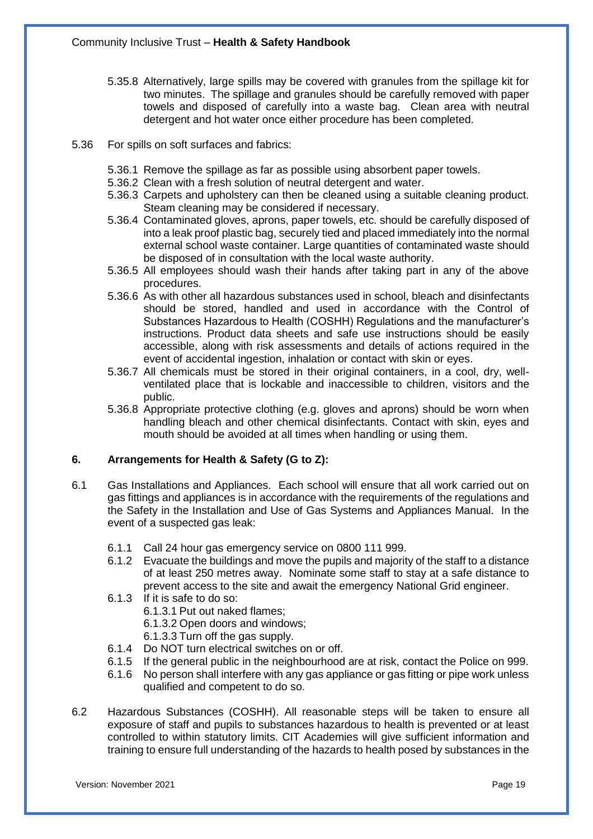- 5.35.8 Alternatively, large spills may be covered with granules from the spillage kit for two minutes. The spillage and granules should be carefully removed with paper towels and disposed of carefully into a waste bag. Clean area with neutral detergent and hot water once either procedure has been completed.
- 5.36 For spills on soft surfaces and fabrics:
	- 5.36.1 Remove the spillage as far as possible using absorbent paper towels.
	- 5.36.2 Clean with a fresh solution of neutral detergent and water.
	- 5.36.3 Carpets and upholstery can then be cleaned using a suitable cleaning product. Steam cleaning may be considered if necessary.
	- 5.36.4 Contaminated gloves, aprons, paper towels, etc. should be carefully disposed of into a leak proof plastic bag, securely tied and placed immediately into the normal external school waste container. Large quantities of contaminated waste should be disposed of in consultation with the local waste authority.
	- 5.36.5 All employees should wash their hands after taking part in any of the above procedures.
	- 5.36.6 As with other all hazardous substances used in school, bleach and disinfectants should be stored, handled and used in accordance with the Control of Substances Hazardous to Health (COSHH) Regulations and the manufacturer's instructions. Product data sheets and safe use instructions should be easily accessible, along with risk assessments and details of actions required in the event of accidental ingestion, inhalation or contact with skin or eyes.
	- 5.36.7 All chemicals must be stored in their original containers, in a cool, dry, wellventilated place that is lockable and inaccessible to children, visitors and the public.
	- 5.36.8 Appropriate protective clothing (e.g. gloves and aprons) should be worn when handling bleach and other chemical disinfectants. Contact with skin, eyes and mouth should be avoided at all times when handling or using them.

#### **6. Arrangements for Health & Safety (G to Z):**

- 6.1 Gas Installations and Appliances. Each school will ensure that all work carried out on gas fittings and appliances is in accordance with the requirements of the regulations and the Safety in the Installation and Use of Gas Systems and Appliances Manual. In the event of a suspected gas leak:
	- 6.1.1 Call 24 hour gas emergency service on 0800 111 999.
	- 6.1.2 Evacuate the buildings and move the pupils and majority of the staff to a distance of at least 250 metres away. Nominate some staff to stay at a safe distance to prevent access to the site and await the emergency National Grid engineer.
	- 6.1.3 If it is safe to do so:
		- 6.1.3.1 Put out naked flames;
		- 6.1.3.2 Open doors and windows;
		- 6.1.3.3 Turn off the gas supply.
	- 6.1.4 Do NOT turn electrical switches on or off.
	- 6.1.5 If the general public in the neighbourhood are at risk, contact the Police on 999.
	- 6.1.6 No person shall interfere with any gas appliance or gas fitting or pipe work unless qualified and competent to do so.
- 6.2 Hazardous Substances (COSHH). All reasonable steps will be taken to ensure all exposure of staff and pupils to substances hazardous to health is prevented or at least controlled to within statutory limits. CIT Academies will give sufficient information and training to ensure full understanding of the hazards to health posed by substances in the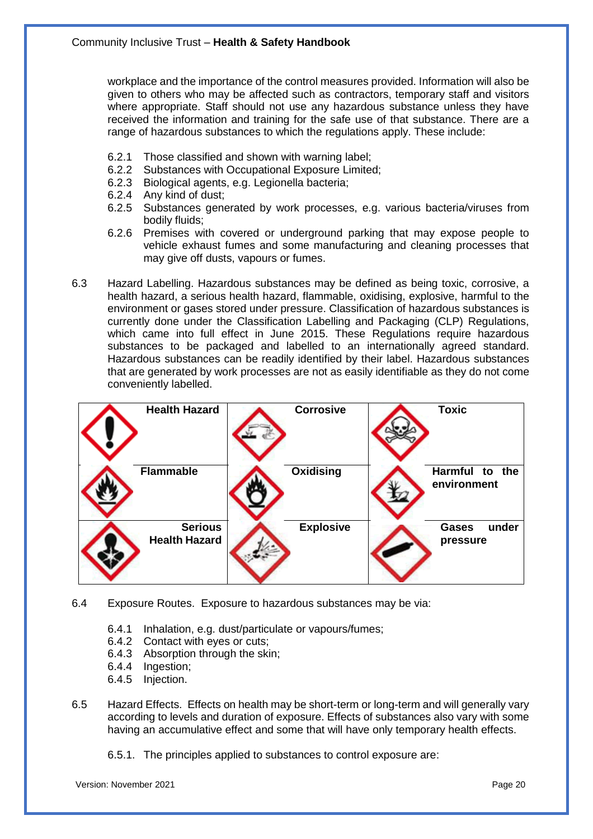workplace and the importance of the control measures provided. Information will also be given to others who may be affected such as contractors, temporary staff and visitors where appropriate. Staff should not use any hazardous substance unless they have received the information and training for the safe use of that substance. There are a range of hazardous substances to which the regulations apply. These include:

- 6.2.1 Those classified and shown with warning label;
- 6.2.2 Substances with Occupational Exposure Limited;<br>6.2.3 Biological agents, e.g. Legionella bacteria:
- Biological agents, e.g. Legionella bacteria;
- 6.2.4 Any kind of dust;
- 6.2.5 Substances generated by work processes, e.g. various bacteria/viruses from bodily fluids;
- 6.2.6 Premises with covered or underground parking that may expose people to vehicle exhaust fumes and some manufacturing and cleaning processes that may give off dusts, vapours or fumes.
- 6.3 Hazard Labelling. Hazardous substances may be defined as being toxic, corrosive, a health hazard, a serious health hazard, flammable, oxidising, explosive, harmful to the environment or gases stored under pressure. Classification of hazardous substances is currently done under the Classification Labelling and Packaging (CLP) Regulations, which came into full effect in June 2015. These Regulations require hazardous substances to be packaged and labelled to an internationally agreed standard. Hazardous substances can be readily identified by their label. Hazardous substances that are generated by work processes are not as easily identifiable as they do not come conveniently labelled.

| <b>Health Hazard</b>                   | <b>Corrosive</b> | <b>Toxic</b>                      |
|----------------------------------------|------------------|-----------------------------------|
| <b>Flammable</b>                       | Oxidising        | Harmful to the<br>environment     |
| <b>Serious</b><br><b>Health Hazard</b> | <b>Explosive</b> | under<br><b>Gases</b><br>pressure |

- 6.4 Exposure Routes. Exposure to hazardous substances may be via:
	- 6.4.1 Inhalation, e.g. dust/particulate or vapours/fumes;
	- 6.4.2 Contact with eyes or cuts;
	- 6.4.3 Absorption through the skin;
	- 6.4.4 Ingestion;
	- 6.4.5 Injection.
- 6.5 Hazard Effects. Effects on health may be short-term or long-term and will generally vary according to levels and duration of exposure. Effects of substances also vary with some having an accumulative effect and some that will have only temporary health effects.
	- 6.5.1. The principles applied to substances to control exposure are: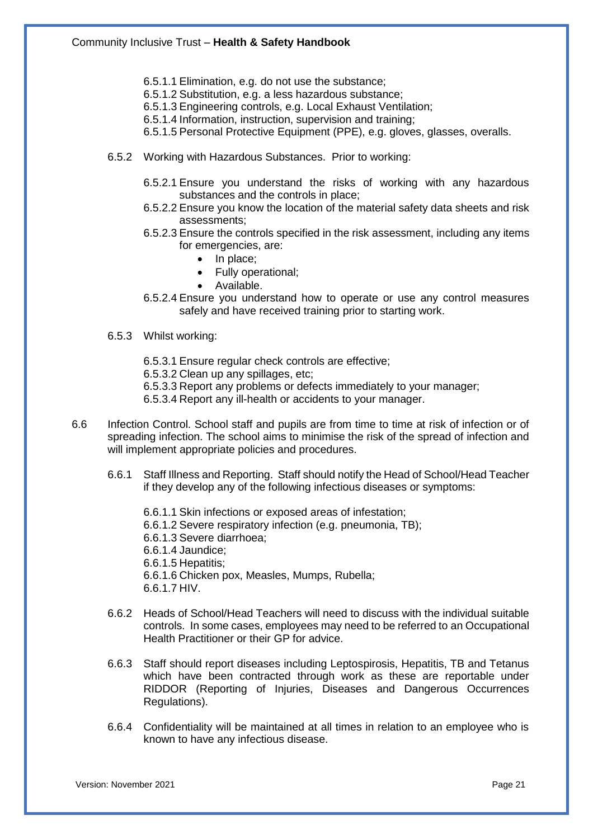- 6.5.1.1 Elimination, e.g. do not use the substance;
- 6.5.1.2 Substitution, e.g. a less hazardous substance;
- 6.5.1.3 Engineering controls, e.g. Local Exhaust Ventilation;
- 6.5.1.4 Information, instruction, supervision and training;
- 6.5.1.5 Personal Protective Equipment (PPE), e.g. gloves, glasses, overalls.
- 6.5.2 Working with Hazardous Substances. Prior to working:
	- 6.5.2.1 Ensure you understand the risks of working with any hazardous substances and the controls in place;
	- 6.5.2.2 Ensure you know the location of the material safety data sheets and risk assessments;
	- 6.5.2.3 Ensure the controls specified in the risk assessment, including any items for emergencies, are:
		- In place;
		- Fully operational;
		- Available.
	- 6.5.2.4 Ensure you understand how to operate or use any control measures safely and have received training prior to starting work.
- 6.5.3 Whilst working:
	- 6.5.3.1 Ensure regular check controls are effective;
	- 6.5.3.2 Clean up any spillages, etc;
	- 6.5.3.3 Report any problems or defects immediately to your manager;
	- 6.5.3.4 Report any ill-health or accidents to your manager.
- 6.6 Infection Control. School staff and pupils are from time to time at risk of infection or of spreading infection. The school aims to minimise the risk of the spread of infection and will implement appropriate policies and procedures.
	- 6.6.1 Staff Illness and Reporting. Staff should notify the Head of School/Head Teacher if they develop any of the following infectious diseases or symptoms:
		- 6.6.1.1 Skin infections or exposed areas of infestation; 6.6.1.2 Severe respiratory infection (e.g. pneumonia, TB); 6.6.1.3 Severe diarrhoea; 6.6.1.4 Jaundice; 6.6.1.5 Hepatitis; 6.6.1.6 Chicken pox, Measles, Mumps, Rubella; 6.6.1.7 HIV.
	- 6.6.2 Heads of School/Head Teachers will need to discuss with the individual suitable controls. In some cases, employees may need to be referred to an Occupational Health Practitioner or their GP for advice.
	- 6.6.3 Staff should report diseases including Leptospirosis, Hepatitis, TB and Tetanus which have been contracted through work as these are reportable under RIDDOR (Reporting of Injuries, Diseases and Dangerous Occurrences Regulations).
	- 6.6.4 Confidentiality will be maintained at all times in relation to an employee who is known to have any infectious disease.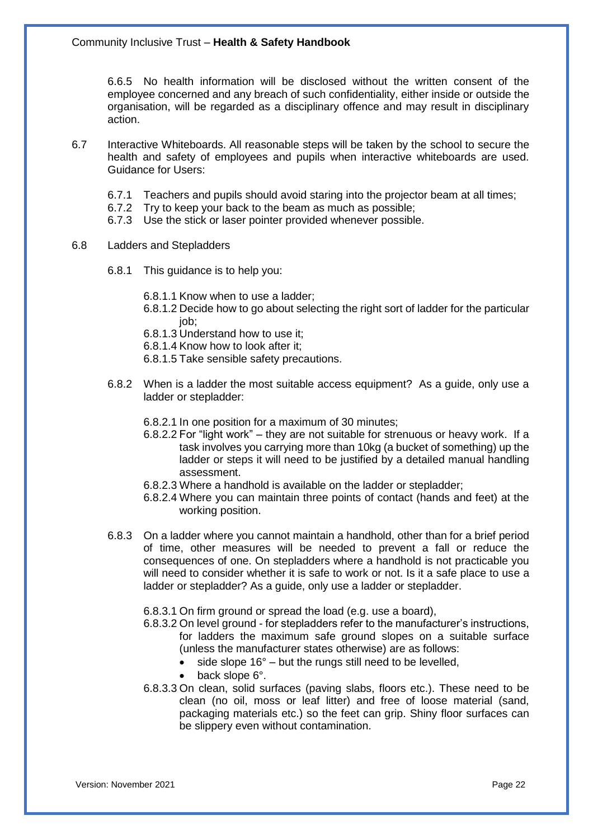6.6.5 No health information will be disclosed without the written consent of the employee concerned and any breach of such confidentiality, either inside or outside the organisation, will be regarded as a disciplinary offence and may result in disciplinary action.

- 6.7 Interactive Whiteboards. All reasonable steps will be taken by the school to secure the health and safety of employees and pupils when interactive whiteboards are used. Guidance for Users:
	- 6.7.1 Teachers and pupils should avoid staring into the projector beam at all times;
	- 6.7.2 Try to keep your back to the beam as much as possible;
	- 6.7.3 Use the stick or laser pointer provided whenever possible.
- 6.8 Ladders and Stepladders
	- 6.8.1 This guidance is to help you:
		- 6.8.1.1 Know when to use a ladder;
		- 6.8.1.2 Decide how to go about selecting the right sort of ladder for the particular iob:
		- 6.8.1.3 Understand how to use it;
		- 6.8.1.4 Know how to look after it;
		- 6.8.1.5 Take sensible safety precautions.
	- 6.8.2 When is a ladder the most suitable access equipment? As a guide, only use a ladder or stepladder:
		- 6.8.2.1 In one position for a maximum of 30 minutes;
		- 6.8.2.2 For "light work" they are not suitable for strenuous or heavy work. If a task involves you carrying more than 10kg (a bucket of something) up the ladder or steps it will need to be justified by a detailed manual handling assessment.
		- 6.8.2.3 Where a handhold is available on the ladder or stepladder;
		- 6.8.2.4 Where you can maintain three points of contact (hands and feet) at the working position.
	- 6.8.3 On a ladder where you cannot maintain a handhold, other than for a brief period of time, other measures will be needed to prevent a fall or reduce the consequences of one. On stepladders where a handhold is not practicable you will need to consider whether it is safe to work or not. Is it a safe place to use a ladder or stepladder? As a guide, only use a ladder or stepladder.
		- 6.8.3.1 On firm ground or spread the load (e.g. use a board),
		- 6.8.3.2 On level ground for stepladders refer to the manufacturer's instructions, for ladders the maximum safe ground slopes on a suitable surface (unless the manufacturer states otherwise) are as follows:
			- side slope  $16^\circ$  but the rungs still need to be levelled,
			- back slope 6°.
		- 6.8.3.3 On clean, solid surfaces (paving slabs, floors etc.). These need to be clean (no oil, moss or leaf litter) and free of loose material (sand, packaging materials etc.) so the feet can grip. Shiny floor surfaces can be slippery even without contamination.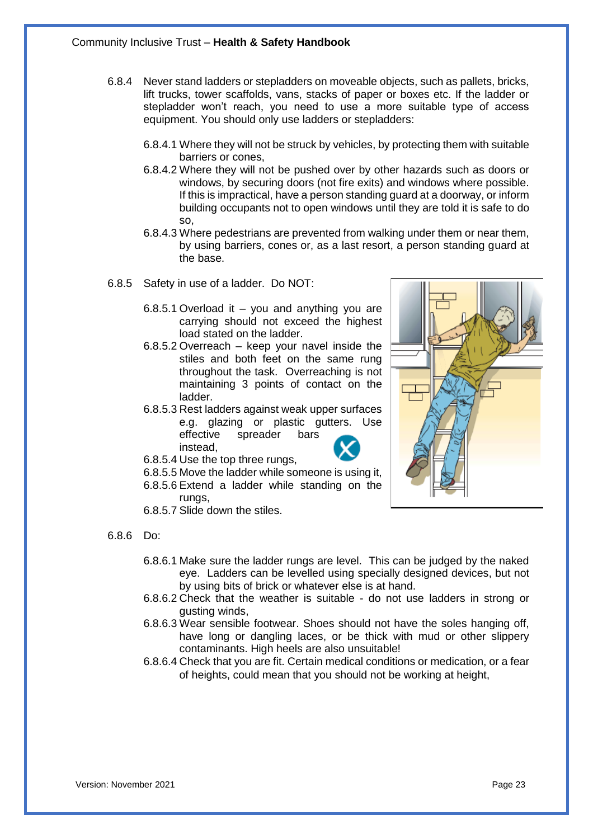- 6.8.4 Never stand ladders or stepladders on moveable objects, such as pallets, bricks, lift trucks, tower scaffolds, vans, stacks of paper or boxes etc. If the ladder or stepladder won't reach, you need to use a more suitable type of access equipment. You should only use ladders or stepladders:
	- 6.8.4.1 Where they will not be struck by vehicles, by protecting them with suitable barriers or cones,
	- 6.8.4.2 Where they will not be pushed over by other hazards such as doors or windows, by securing doors (not fire exits) and windows where possible. If this is impractical, have a person standing guard at a doorway, or inform building occupants not to open windows until they are told it is safe to do so,
	- 6.8.4.3 Where pedestrians are prevented from walking under them or near them, by using barriers, cones or, as a last resort, a person standing guard at the base.
- 6.8.5 Safety in use of a ladder. Do NOT:
	- 6.8.5.1 Overload it you and anything you are carrying should not exceed the highest load stated on the ladder.
	- 6.8.5.2 Overreach keep your navel inside the stiles and both feet on the same rung throughout the task. Overreaching is not maintaining 3 points of contact on the ladder.
	- 6.8.5.3 Rest ladders against weak upper surfaces e.g. glazing or plastic gutters. Use effective spreader bars instead,
	- 6.8.5.4 Use the top three rungs,
	- 6.8.5.5 Move the ladder while someone is using it,
	- 6.8.5.6 Extend a ladder while standing on the runas.
	- 6.8.5.7 Slide down the stiles.

#### 6.8.6 Do:

- 6.8.6.1 Make sure the ladder rungs are level. This can be judged by the naked eye. Ladders can be levelled using specially designed devices, but not by using bits of brick or whatever else is at hand.
- 6.8.6.2 Check that the weather is suitable do not use ladders in strong or gusting winds,
- 6.8.6.3 Wear sensible footwear. Shoes should not have the soles hanging off, have long or dangling laces, or be thick with mud or other slippery contaminants. High heels are also unsuitable!
- 6.8.6.4 Check that you are fit. Certain medical conditions or medication, or a fear of heights, could mean that you should not be working at height,

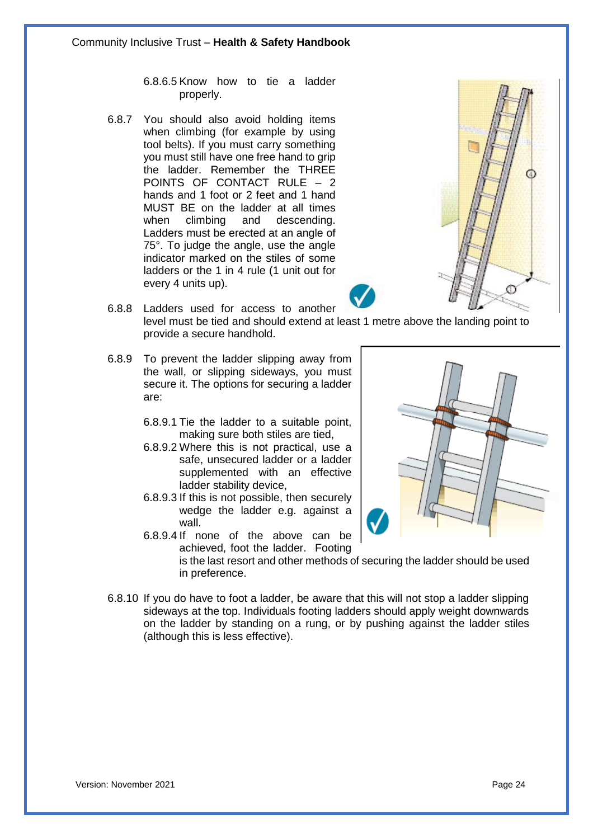6.8.6.5 Know how to tie a ladder properly.

6.8.7 You should also avoid holding items when climbing (for example by using tool belts). If you must carry something you must still have one free hand to grip the ladder. Remember the THREE POINTS OF CONTACT RULE  $-2$ hands and 1 foot or 2 feet and 1 hand MUST BE on the ladder at all times when climbing and descending. Ladders must be erected at an angle of 75°. To judge the angle, use the angle indicator marked on the stiles of some ladders or the 1 in 4 rule (1 unit out for every 4 units up).



- 6.8.8 Ladders used for access to another level must be tied and should extend at least 1 metre above the landing point to provide a secure handhold.
- 6.8.9 To prevent the ladder slipping away from the wall, or slipping sideways, you must secure it. The options for securing a ladder are:
	- 6.8.9.1 Tie the ladder to a suitable point, making sure both stiles are tied,
	- 6.8.9.2 Where this is not practical, use a safe, unsecured ladder or a ladder supplemented with an effective ladder stability device,
	- 6.8.9.3 If this is not possible, then securely wedge the ladder e.g. against a wall.
	- 6.8.9.4 If none of the above can be achieved, foot the ladder. Footing



- is the last resort and other methods of securing the ladder should be used in preference.
- 6.8.10 If you do have to foot a ladder, be aware that this will not stop a ladder slipping sideways at the top. Individuals footing ladders should apply weight downwards on the ladder by standing on a rung, or by pushing against the ladder stiles (although this is less effective).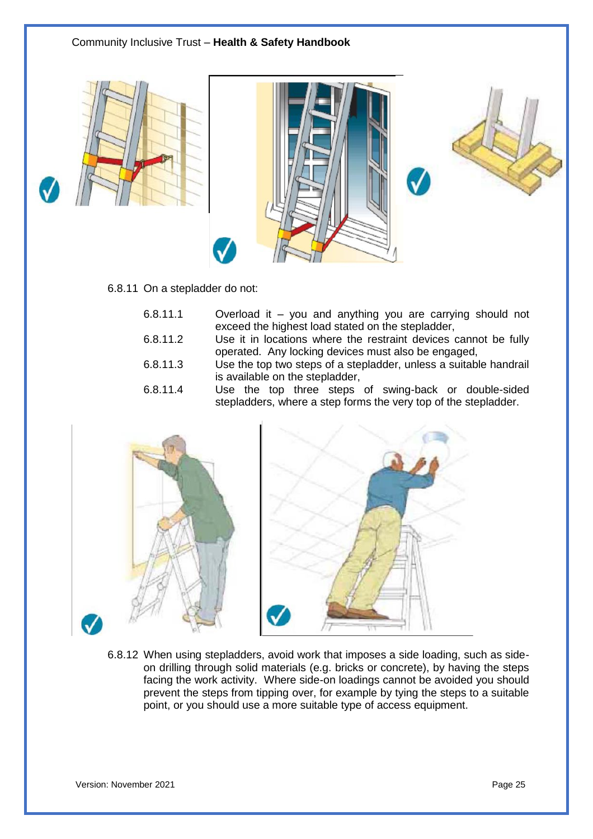

#### 6.8.11 On a stepladder do not:

| 6.8.11.1 | Overload it – you and anything you are carrying should not |  |  |  |  |
|----------|------------------------------------------------------------|--|--|--|--|
|          | exceed the highest load stated on the stepladder,          |  |  |  |  |

- 6.8.11.2 Use it in locations where the restraint devices cannot be fully operated. Any locking devices must also be engaged,
- 6.8.11.3 Use the top two steps of a stepladder, unless a suitable handrail is available on the stepladder,
- 6.8.11.4 Use the top three steps of swing-back or double-sided stepladders, where a step forms the very top of the stepladder.



6.8.12 When using stepladders, avoid work that imposes a side loading, such as sideon drilling through solid materials (e.g. bricks or concrete), by having the steps facing the work activity. Where side-on loadings cannot be avoided you should prevent the steps from tipping over, for example by tying the steps to a suitable point, or you should use a more suitable type of access equipment.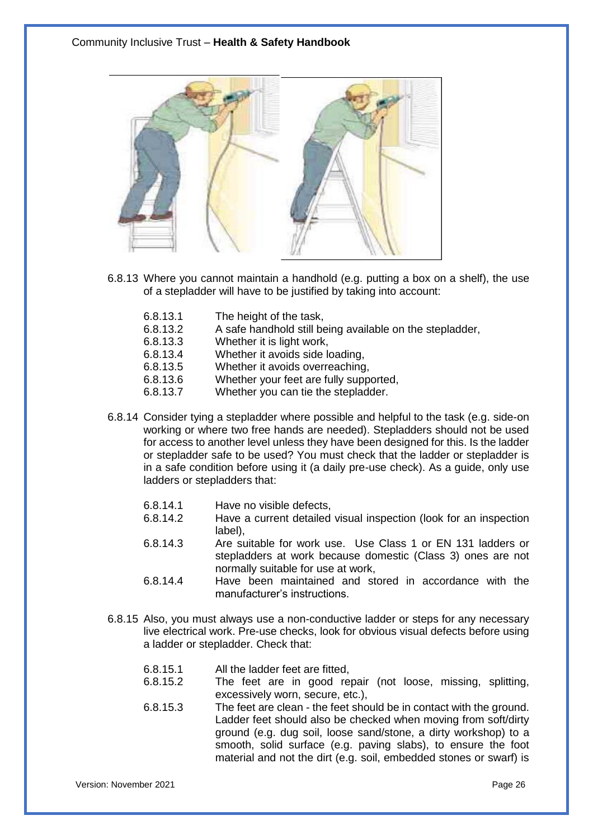

- 6.8.13 Where you cannot maintain a handhold (e.g. putting a box on a shelf), the use of a stepladder will have to be justified by taking into account:
	- 6.8.13.1 The height of the task,<br>6.8.13.2 A safe handhold still be
	- A safe handhold still being available on the stepladder,
	- 6.8.13.3 Whether it is light work,
	- 6.8.13.4 Whether it avoids side loading,
	- 6.8.13.5 Whether it avoids overreaching,
	- 6.8.13.6 Whether your feet are fully supported,
	- 6.8.13.7 Whether you can tie the stepladder.
- 6.8.14 Consider tying a stepladder where possible and helpful to the task (e.g. side-on working or where two free hands are needed). Stepladders should not be used for access to another level unless they have been designed for this. Is the ladder or stepladder safe to be used? You must check that the ladder or stepladder is in a safe condition before using it (a daily pre-use check). As a guide, only use ladders or stepladders that:
	- 6.8.14.1 Have no visible defects,
	- 6.8.14.2 Have a current detailed visual inspection (look for an inspection label),
	- 6.8.14.3 Are suitable for work use. Use Class 1 or EN 131 ladders or stepladders at work because domestic (Class 3) ones are not normally suitable for use at work,
	- 6.8.14.4 Have been maintained and stored in accordance with the manufacturer's instructions.
- 6.8.15 Also, you must always use a non-conductive ladder or steps for any necessary live electrical work. Pre-use checks, look for obvious visual defects before using a ladder or stepladder. Check that:
	- 6.8.15.1 All the ladder feet are fitted,
	- 6.8.15.2 The feet are in good repair (not loose, missing, splitting, excessively worn, secure, etc.),
	- 6.8.15.3 The feet are clean the feet should be in contact with the ground. Ladder feet should also be checked when moving from soft/dirty ground (e.g. dug soil, loose sand/stone, a dirty workshop) to a smooth, solid surface (e.g. paving slabs), to ensure the foot material and not the dirt (e.g. soil, embedded stones or swarf) is

Version: November 2021 Page 26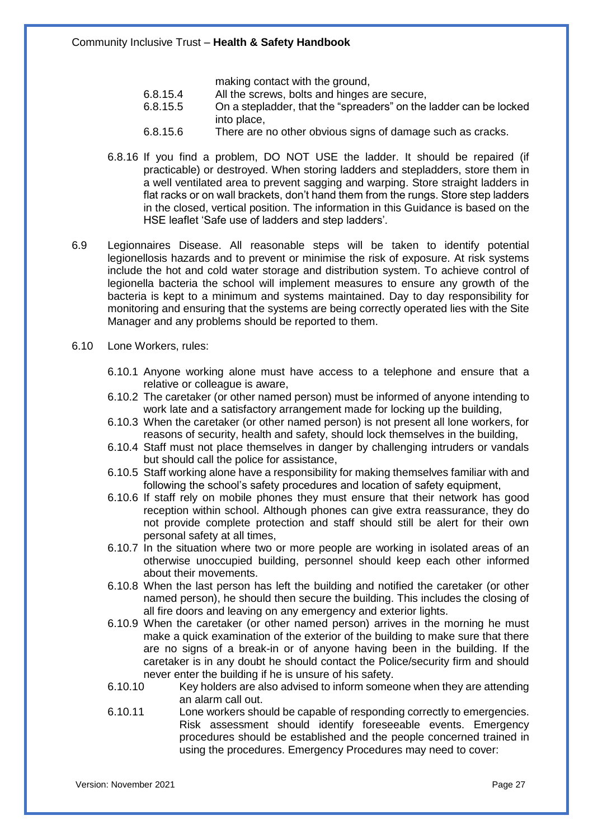making contact with the ground,

- 6.8.15.4 All the screws, bolts and hinges are secure,<br>6.8.15.5 On a stepladder, that the "spreaders" on the
- On a stepladder, that the "spreaders" on the ladder can be locked into place,
- 6.8.15.6 There are no other obvious signs of damage such as cracks.
- 6.8.16 If you find a problem, DO NOT USE the ladder. It should be repaired (if practicable) or destroyed. When storing ladders and stepladders, store them in a well ventilated area to prevent sagging and warping. Store straight ladders in flat racks or on wall brackets, don't hand them from the rungs. Store step ladders in the closed, vertical position. The information in this Guidance is based on the HSE leaflet 'Safe use of ladders and step ladders'.
- 6.9 Legionnaires Disease. All reasonable steps will be taken to identify potential legionellosis hazards and to prevent or minimise the risk of exposure. At risk systems include the hot and cold water storage and distribution system. To achieve control of legionella bacteria the school will implement measures to ensure any growth of the bacteria is kept to a minimum and systems maintained. Day to day responsibility for monitoring and ensuring that the systems are being correctly operated lies with the Site Manager and any problems should be reported to them.
- 6.10 Lone Workers, rules:
	- 6.10.1 Anyone working alone must have access to a telephone and ensure that a relative or colleague is aware,
	- 6.10.2 The caretaker (or other named person) must be informed of anyone intending to work late and a satisfactory arrangement made for locking up the building,
	- 6.10.3 When the caretaker (or other named person) is not present all lone workers, for reasons of security, health and safety, should lock themselves in the building,
	- 6.10.4 Staff must not place themselves in danger by challenging intruders or vandals but should call the police for assistance,
	- 6.10.5 Staff working alone have a responsibility for making themselves familiar with and following the school's safety procedures and location of safety equipment,
	- 6.10.6 If staff rely on mobile phones they must ensure that their network has good reception within school. Although phones can give extra reassurance, they do not provide complete protection and staff should still be alert for their own personal safety at all times,
	- 6.10.7 In the situation where two or more people are working in isolated areas of an otherwise unoccupied building, personnel should keep each other informed about their movements.
	- 6.10.8 When the last person has left the building and notified the caretaker (or other named person), he should then secure the building. This includes the closing of all fire doors and leaving on any emergency and exterior lights.
	- 6.10.9 When the caretaker (or other named person) arrives in the morning he must make a quick examination of the exterior of the building to make sure that there are no signs of a break-in or of anyone having been in the building. If the caretaker is in any doubt he should contact the Police/security firm and should never enter the building if he is unsure of his safety.
	- 6.10.10 Key holders are also advised to inform someone when they are attending an alarm call out.
	- 6.10.11 Lone workers should be capable of responding correctly to emergencies. Risk assessment should identify foreseeable events. Emergency procedures should be established and the people concerned trained in using the procedures. Emergency Procedures may need to cover:

Version: November 2021 **Page 27** Page 27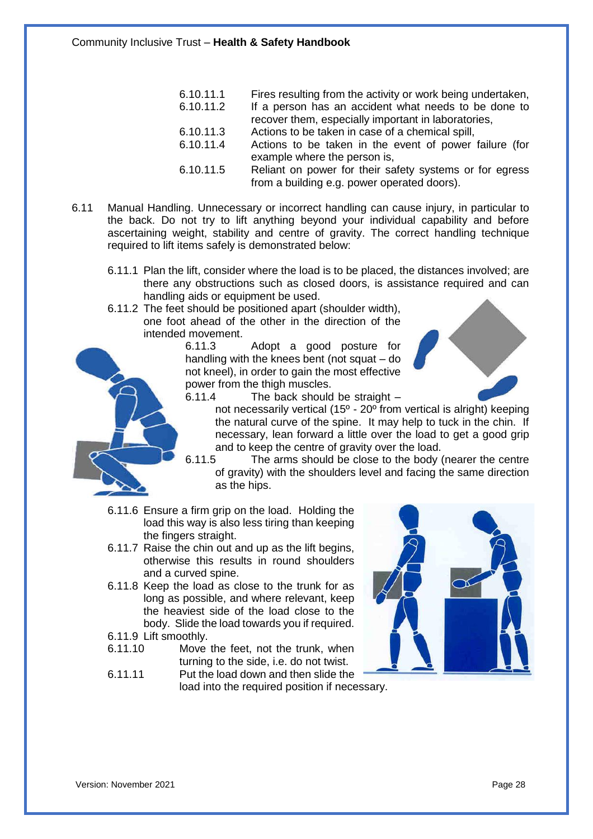- 6.10.11.1 Fires resulting from the activity or work being undertaken,<br>6.10.11.2 If a person has an accident what needs to be done to
	- If a person has an accident what needs to be done to recover them, especially important in laboratories,
- 6.10.11.3 Actions to be taken in case of a chemical spill,
- 6.10.11.4 Actions to be taken in the event of power failure (for example where the person is,
- 6.10.11.5 Reliant on power for their safety systems or for egress from a building e.g. power operated doors).
- 6.11 Manual Handling. Unnecessary or incorrect handling can cause injury, in particular to the back. Do not try to lift anything beyond your individual capability and before ascertaining weight, stability and centre of gravity. The correct handling technique required to lift items safely is demonstrated below:
	- 6.11.1 Plan the lift, consider where the load is to be placed, the distances involved; are there any obstructions such as closed doors, is assistance required and can handling aids or equipment be used.
	- 6.11.2 The feet should be positioned apart (shoulder width), one foot ahead of the other in the direction of the intended movement.

6.11.3 Adopt a good posture for handling with the knees bent (not squat – do not kneel), in order to gain the most effective power from the thigh muscles.





- 6.11.4 The back should be straight
	- not necessarily vertical (15 $^{\circ}$  20 $^{\circ}$  from vertical is alright) keeping the natural curve of the spine. It may help to tuck in the chin. If necessary, lean forward a little over the load to get a good grip and to keep the centre of gravity over the load.
- 6.11.5 The arms should be close to the body (nearer the centre of gravity) with the shoulders level and facing the same direction as the hips.
- 6.11.6 Ensure a firm grip on the load. Holding the load this way is also less tiring than keeping the fingers straight.
- 6.11.7 Raise the chin out and up as the lift begins, otherwise this results in round shoulders and a curved spine.
- 6.11.8 Keep the load as close to the trunk for as long as possible, and where relevant, keep the heaviest side of the load close to the body. Slide the load towards you if required.
- 6.11.9 Lift smoothly.
- 6.11.10 Move the feet, not the trunk, when turning to the side, i.e. do not twist.
- 6.11.11 Put the load down and then slide the load into the required position if necessary.

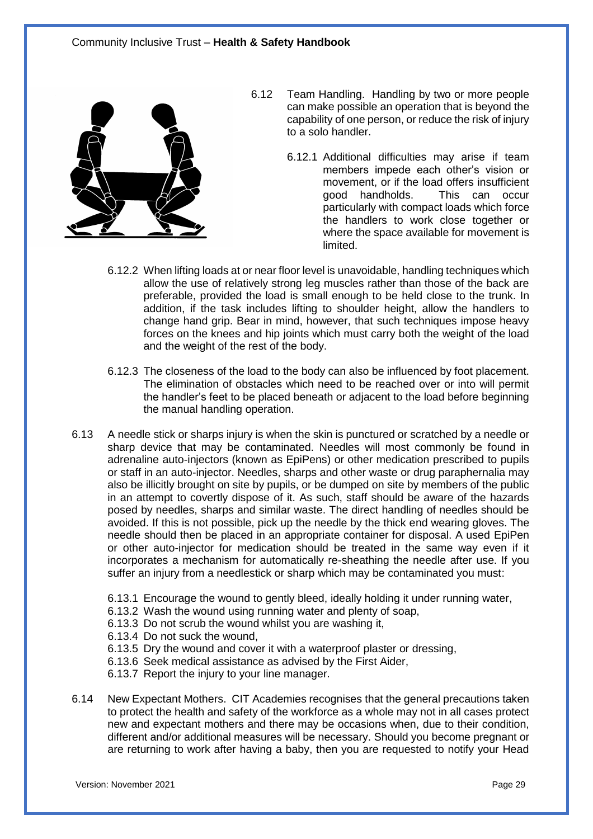

- 6.12 Team Handling. Handling by two or more people can make possible an operation that is beyond the capability of one person, or reduce the risk of injury to a solo handler.
	- 6.12.1 Additional difficulties may arise if team members impede each other's vision or movement, or if the load offers insufficient good handholds. This can occur particularly with compact loads which force the handlers to work close together or where the space available for movement is limited.
- 6.12.2 When lifting loads at or near floor level is unavoidable, handling techniques which allow the use of relatively strong leg muscles rather than those of the back are preferable, provided the load is small enough to be held close to the trunk. In addition, if the task includes lifting to shoulder height, allow the handlers to change hand grip. Bear in mind, however, that such techniques impose heavy forces on the knees and hip joints which must carry both the weight of the load and the weight of the rest of the body.
- 6.12.3 The closeness of the load to the body can also be influenced by foot placement. The elimination of obstacles which need to be reached over or into will permit the handler's feet to be placed beneath or adjacent to the load before beginning the manual handling operation.
- 6.13 A needle stick or sharps injury is when the skin is punctured or scratched by a needle or sharp device that may be contaminated. Needles will most commonly be found in adrenaline auto-injectors (known as EpiPens) or other medication prescribed to pupils or staff in an auto-injector. Needles, sharps and other waste or drug paraphernalia may also be illicitly brought on site by pupils, or be dumped on site by members of the public in an attempt to covertly dispose of it. As such, staff should be aware of the hazards posed by needles, sharps and similar waste. The direct handling of needles should be avoided. If this is not possible, pick up the needle by the thick end wearing gloves. The needle should then be placed in an appropriate container for disposal. A used EpiPen or other auto-injector for medication should be treated in the same way even if it incorporates a mechanism for automatically re-sheathing the needle after use. If you suffer an injury from a needlestick or sharp which may be contaminated you must:
	- 6.13.1 Encourage the wound to gently bleed, ideally holding it under running water,
	- 6.13.2 Wash the wound using running water and plenty of soap,
	- 6.13.3 Do not scrub the wound whilst you are washing it,
	- 6.13.4 Do not suck the wound,
	- 6.13.5 Dry the wound and cover it with a waterproof plaster or dressing,
	- 6.13.6 Seek medical assistance as advised by the First Aider,
	- 6.13.7 Report the injury to your line manager.
- 6.14 New Expectant Mothers. CIT Academies recognises that the general precautions taken to protect the health and safety of the workforce as a whole may not in all cases protect new and expectant mothers and there may be occasions when, due to their condition, different and/or additional measures will be necessary. Should you become pregnant or are returning to work after having a baby, then you are requested to notify your Head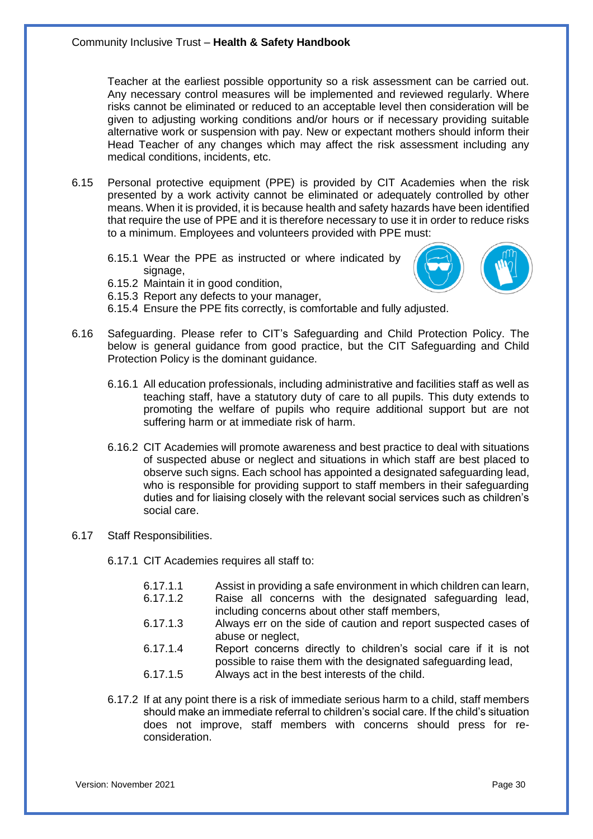Teacher at the earliest possible opportunity so a risk assessment can be carried out. Any necessary control measures will be implemented and reviewed regularly. Where risks cannot be eliminated or reduced to an acceptable level then consideration will be given to adjusting working conditions and/or hours or if necessary providing suitable alternative work or suspension with pay. New or expectant mothers should inform their Head Teacher of any changes which may affect the risk assessment including any medical conditions, incidents, etc.

- 6.15 Personal protective equipment (PPE) is provided by CIT Academies when the risk presented by a work activity cannot be eliminated or adequately controlled by other means. When it is provided, it is because health and safety hazards have been identified that require the use of PPE and it is therefore necessary to use it in order to reduce risks to a minimum. Employees and volunteers provided with PPE must:
	- 6.15.1 Wear the PPE as instructed or where indicated by signage,
	- 6.15.2 Maintain it in good condition,
	- 6.15.3 Report any defects to your manager,
	- 6.15.4 Ensure the PPE fits correctly, is comfortable and fully adjusted.
- 6.16 Safeguarding. Please refer to CIT's Safeguarding and Child Protection Policy. The below is general guidance from good practice, but the CIT Safeguarding and Child Protection Policy is the dominant guidance.
	- 6.16.1 All education professionals, including administrative and facilities staff as well as teaching staff, have a statutory duty of care to all pupils. This duty extends to promoting the welfare of pupils who require additional support but are not suffering harm or at immediate risk of harm.
	- 6.16.2 CIT Academies will promote awareness and best practice to deal with situations of suspected abuse or neglect and situations in which staff are best placed to observe such signs. Each school has appointed a designated safeguarding lead, who is responsible for providing support to staff members in their safeguarding duties and for liaising closely with the relevant social services such as children's social care.
- 6.17 Staff Responsibilities.
	- 6.17.1 CIT Academies requires all staff to:

| 6.17.1.1 | Assist in providing a safe environment in which children can learn,                                                              |
|----------|----------------------------------------------------------------------------------------------------------------------------------|
| 6.17.1.2 | Raise all concerns with the designated safeguarding lead,<br>including concerns about other staff members,                       |
| 6.17.1.3 | Always err on the side of caution and report suspected cases of<br>abuse or neglect,                                             |
| 6.17.1.4 | Report concerns directly to children's social care if it is not<br>possible to raise them with the designated safeguarding lead, |
| 6.17.1.5 | Always act in the best interests of the child.                                                                                   |

6.17.2 If at any point there is a risk of immediate serious harm to a child, staff members should make an immediate referral to children's social care. If the child's situation does not improve, staff members with concerns should press for reconsideration.

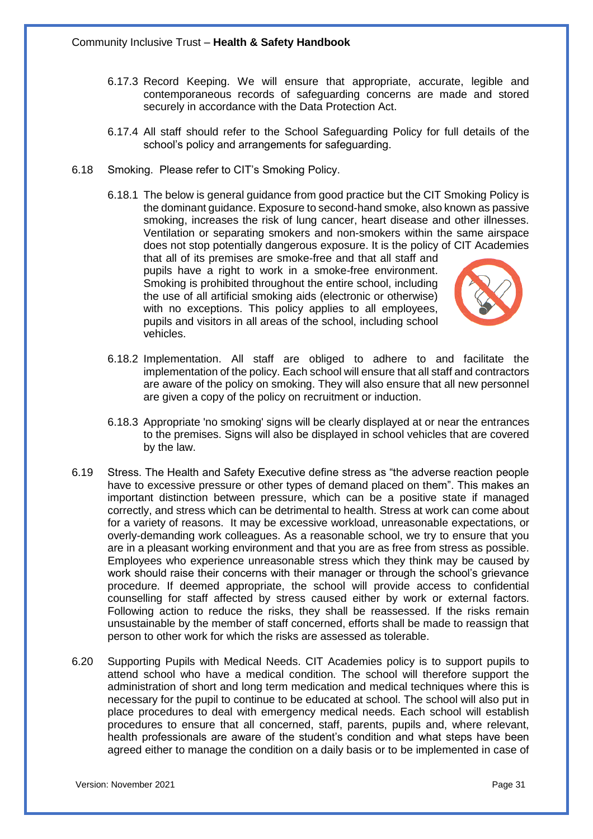- 6.17.3 Record Keeping. We will ensure that appropriate, accurate, legible and contemporaneous records of safeguarding concerns are made and stored securely in accordance with the Data Protection Act.
- 6.17.4 All staff should refer to the School Safeguarding Policy for full details of the school's policy and arrangements for safeguarding.
- 6.18 Smoking. Please refer to CIT's Smoking Policy.
	- 6.18.1 The below is general guidance from good practice but the CIT Smoking Policy is the dominant guidance. Exposure to second-hand smoke, also known as passive smoking, increases the risk of lung cancer, heart disease and other illnesses. Ventilation or separating smokers and non-smokers within the same airspace does not stop potentially dangerous exposure. It is the policy of CIT Academies

that all of its premises are smoke-free and that all staff and pupils have a right to work in a smoke-free environment. Smoking is prohibited throughout the entire school, including the use of all artificial smoking aids (electronic or otherwise) with no exceptions. This policy applies to all employees, pupils and visitors in all areas of the school, including school vehicles.



- 6.18.2 Implementation. All staff are obliged to adhere to and facilitate the implementation of the policy. Each school will ensure that all staff and contractors are aware of the policy on smoking. They will also ensure that all new personnel are given a copy of the policy on recruitment or induction.
- 6.18.3 Appropriate 'no smoking' signs will be clearly displayed at or near the entrances to the premises. Signs will also be displayed in school vehicles that are covered by the law.
- 6.19 Stress. The Health and Safety Executive define stress as "the adverse reaction people have to excessive pressure or other types of demand placed on them". This makes an important distinction between pressure, which can be a positive state if managed correctly, and stress which can be detrimental to health. Stress at work can come about for a variety of reasons. It may be excessive workload, unreasonable expectations, or overly-demanding work colleagues. As a reasonable school, we try to ensure that you are in a pleasant working environment and that you are as free from stress as possible. Employees who experience unreasonable stress which they think may be caused by work should raise their concerns with their manager or through the school's grievance procedure. If deemed appropriate, the school will provide access to confidential counselling for staff affected by stress caused either by work or external factors. Following action to reduce the risks, they shall be reassessed. If the risks remain unsustainable by the member of staff concerned, efforts shall be made to reassign that person to other work for which the risks are assessed as tolerable.
- 6.20 Supporting Pupils with Medical Needs. CIT Academies policy is to support pupils to attend school who have a medical condition. The school will therefore support the administration of short and long term medication and medical techniques where this is necessary for the pupil to continue to be educated at school. The school will also put in place procedures to deal with emergency medical needs. Each school will establish procedures to ensure that all concerned, staff, parents, pupils and, where relevant, health professionals are aware of the student's condition and what steps have been agreed either to manage the condition on a daily basis or to be implemented in case of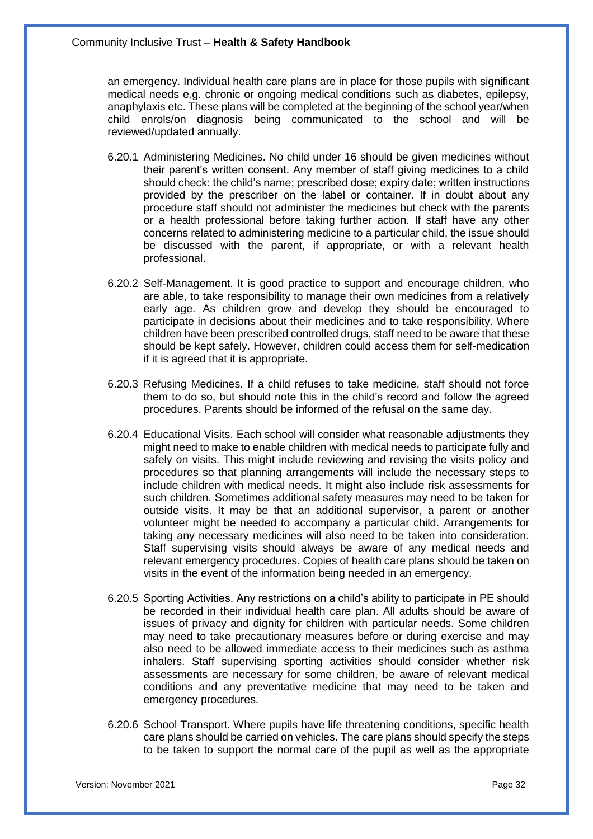an emergency. Individual health care plans are in place for those pupils with significant medical needs e.g. chronic or ongoing medical conditions such as diabetes, epilepsy, anaphylaxis etc. These plans will be completed at the beginning of the school year/when child enrols/on diagnosis being communicated to the school and will be reviewed/updated annually.

- 6.20.1 Administering Medicines. No child under 16 should be given medicines without their parent's written consent. Any member of staff giving medicines to a child should check: the child's name; prescribed dose; expiry date; written instructions provided by the prescriber on the label or container. If in doubt about any procedure staff should not administer the medicines but check with the parents or a health professional before taking further action. If staff have any other concerns related to administering medicine to a particular child, the issue should be discussed with the parent, if appropriate, or with a relevant health professional.
- 6.20.2 Self-Management. It is good practice to support and encourage children, who are able, to take responsibility to manage their own medicines from a relatively early age. As children grow and develop they should be encouraged to participate in decisions about their medicines and to take responsibility. Where children have been prescribed controlled drugs, staff need to be aware that these should be kept safely. However, children could access them for self-medication if it is agreed that it is appropriate.
- 6.20.3 Refusing Medicines. If a child refuses to take medicine, staff should not force them to do so, but should note this in the child's record and follow the agreed procedures. Parents should be informed of the refusal on the same day.
- 6.20.4 Educational Visits. Each school will consider what reasonable adjustments they might need to make to enable children with medical needs to participate fully and safely on visits. This might include reviewing and revising the visits policy and procedures so that planning arrangements will include the necessary steps to include children with medical needs. It might also include risk assessments for such children. Sometimes additional safety measures may need to be taken for outside visits. It may be that an additional supervisor, a parent or another volunteer might be needed to accompany a particular child. Arrangements for taking any necessary medicines will also need to be taken into consideration. Staff supervising visits should always be aware of any medical needs and relevant emergency procedures. Copies of health care plans should be taken on visits in the event of the information being needed in an emergency.
- 6.20.5 Sporting Activities. Any restrictions on a child's ability to participate in PE should be recorded in their individual health care plan. All adults should be aware of issues of privacy and dignity for children with particular needs. Some children may need to take precautionary measures before or during exercise and may also need to be allowed immediate access to their medicines such as asthma inhalers. Staff supervising sporting activities should consider whether risk assessments are necessary for some children, be aware of relevant medical conditions and any preventative medicine that may need to be taken and emergency procedures.
- 6.20.6 School Transport. Where pupils have life threatening conditions, specific health care plans should be carried on vehicles. The care plans should specify the steps to be taken to support the normal care of the pupil as well as the appropriate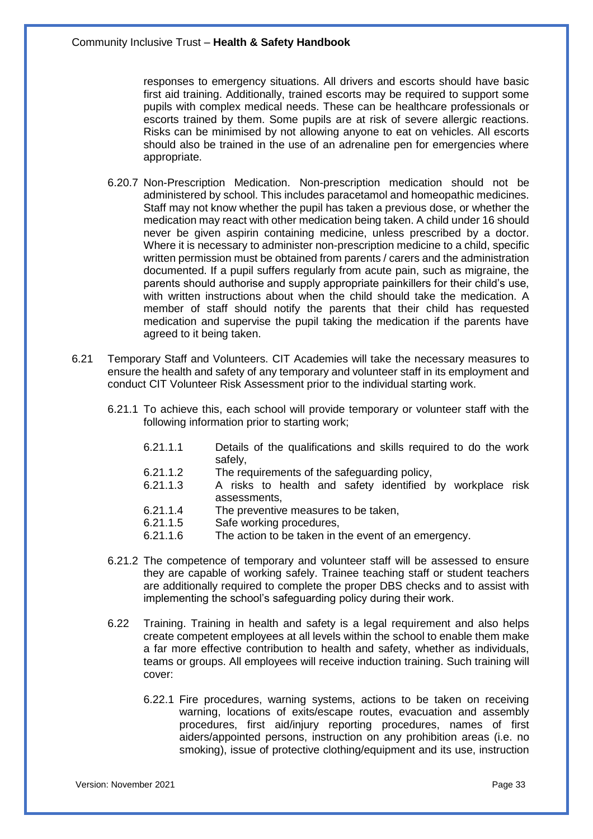responses to emergency situations. All drivers and escorts should have basic first aid training. Additionally, trained escorts may be required to support some pupils with complex medical needs. These can be healthcare professionals or escorts trained by them. Some pupils are at risk of severe allergic reactions. Risks can be minimised by not allowing anyone to eat on vehicles. All escorts should also be trained in the use of an adrenaline pen for emergencies where appropriate.

- 6.20.7 Non-Prescription Medication. Non-prescription medication should not be administered by school. This includes paracetamol and homeopathic medicines. Staff may not know whether the pupil has taken a previous dose, or whether the medication may react with other medication being taken. A child under 16 should never be given aspirin containing medicine, unless prescribed by a doctor. Where it is necessary to administer non-prescription medicine to a child, specific written permission must be obtained from parents / carers and the administration documented. If a pupil suffers regularly from acute pain, such as migraine, the parents should authorise and supply appropriate painkillers for their child's use, with written instructions about when the child should take the medication. A member of staff should notify the parents that their child has requested medication and supervise the pupil taking the medication if the parents have agreed to it being taken.
- 6.21 Temporary Staff and Volunteers. CIT Academies will take the necessary measures to ensure the health and safety of any temporary and volunteer staff in its employment and conduct CIT Volunteer Risk Assessment prior to the individual starting work.
	- 6.21.1 To achieve this, each school will provide temporary or volunteer staff with the following information prior to starting work;
		- 6.21.1.1 Details of the qualifications and skills required to do the work safely,
		- 6.21.1.2 The requirements of the safeguarding policy,
		- 6.21.1.3 A risks to health and safety identified by workplace risk assessments,
		- 6.21.1.4 The preventive measures to be taken,
		- 6.21.1.5 Safe working procedures,
		- 6.21.1.6 The action to be taken in the event of an emergency.
	- 6.21.2 The competence of temporary and volunteer staff will be assessed to ensure they are capable of working safely. Trainee teaching staff or student teachers are additionally required to complete the proper DBS checks and to assist with implementing the school's safeguarding policy during their work.
	- 6.22 Training. Training in health and safety is a legal requirement and also helps create competent employees at all levels within the school to enable them make a far more effective contribution to health and safety, whether as individuals, teams or groups. All employees will receive induction training. Such training will cover:
		- 6.22.1 Fire procedures, warning systems, actions to be taken on receiving warning, locations of exits/escape routes, evacuation and assembly procedures, first aid/injury reporting procedures, names of first aiders/appointed persons, instruction on any prohibition areas (i.e. no smoking), issue of protective clothing/equipment and its use, instruction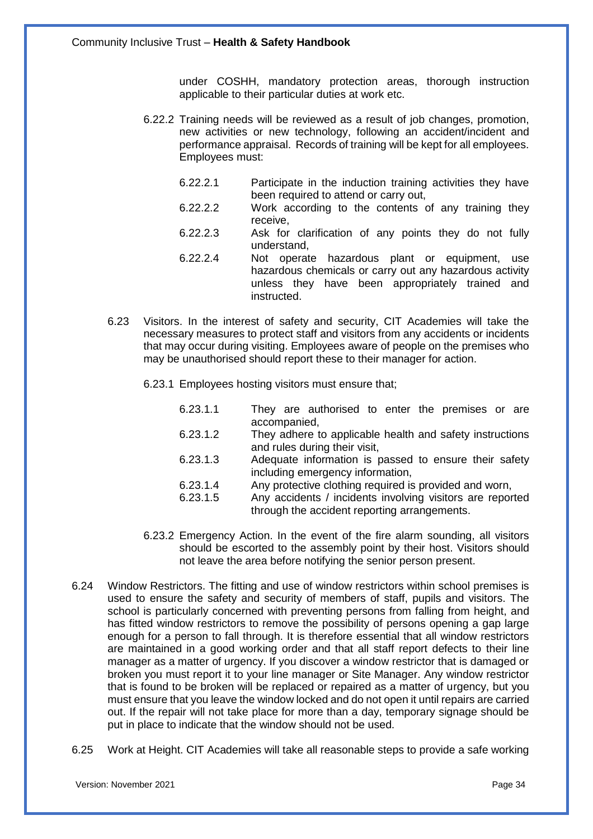under COSHH, mandatory protection areas, thorough instruction applicable to their particular duties at work etc.

- 6.22.2 Training needs will be reviewed as a result of job changes, promotion, new activities or new technology, following an accident/incident and performance appraisal. Records of training will be kept for all employees. Employees must:
	- 6.22.2.1 Participate in the induction training activities they have been required to attend or carry out,
	- 6.22.2.2 Work according to the contents of any training they receive,
	- 6.22.2.3 Ask for clarification of any points they do not fully understand,
	- 6.22.2.4 Not operate hazardous plant or equipment, use hazardous chemicals or carry out any hazardous activity unless they have been appropriately trained and instructed.
- 6.23 Visitors. In the interest of safety and security, CIT Academies will take the necessary measures to protect staff and visitors from any accidents or incidents that may occur during visiting. Employees aware of people on the premises who may be unauthorised should report these to their manager for action.
	- 6.23.1 Employees hosting visitors must ensure that;
		- 6.23.1.1 They are authorised to enter the premises or are accompanied,
		- 6.23.1.2 They adhere to applicable health and safety instructions and rules during their visit,
		- 6.23.1.3 Adequate information is passed to ensure their safety including emergency information,
		- 6.23.1.4 Any protective clothing required is provided and worn,
		- 6.23.1.5 Any accidents / incidents involving visitors are reported through the accident reporting arrangements.
	- 6.23.2 Emergency Action. In the event of the fire alarm sounding, all visitors should be escorted to the assembly point by their host. Visitors should not leave the area before notifying the senior person present.
- 6.24 Window Restrictors. The fitting and use of window restrictors within school premises is used to ensure the safety and security of members of staff, pupils and visitors. The school is particularly concerned with preventing persons from falling from height, and has fitted window restrictors to remove the possibility of persons opening a gap large enough for a person to fall through. It is therefore essential that all window restrictors are maintained in a good working order and that all staff report defects to their line manager as a matter of urgency. If you discover a window restrictor that is damaged or broken you must report it to your line manager or Site Manager. Any window restrictor that is found to be broken will be replaced or repaired as a matter of urgency, but you must ensure that you leave the window locked and do not open it until repairs are carried out. If the repair will not take place for more than a day, temporary signage should be put in place to indicate that the window should not be used.
- 6.25 Work at Height. CIT Academies will take all reasonable steps to provide a safe working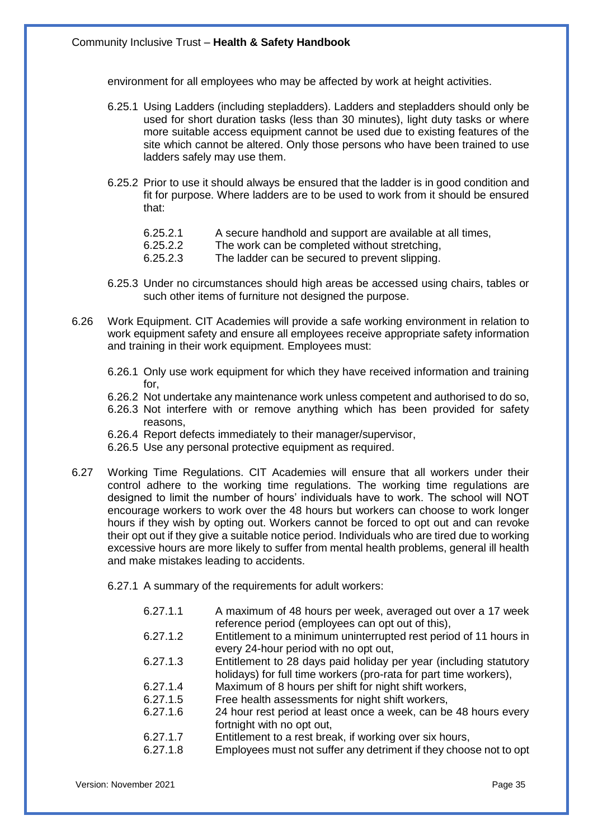environment for all employees who may be affected by work at height activities.

- 6.25.1 Using Ladders (including stepladders). Ladders and stepladders should only be used for short duration tasks (less than 30 minutes), light duty tasks or where more suitable access equipment cannot be used due to existing features of the site which cannot be altered. Only those persons who have been trained to use ladders safely may use them.
- 6.25.2 Prior to use it should always be ensured that the ladder is in good condition and fit for purpose. Where ladders are to be used to work from it should be ensured that:
	- 6.25.2.1 A secure handhold and support are available at all times,
	- 6.25.2.2 The work can be completed without stretching,
	- 6.25.2.3 The ladder can be secured to prevent slipping.
- 6.25.3 Under no circumstances should high areas be accessed using chairs, tables or such other items of furniture not designed the purpose.
- 6.26 Work Equipment. CIT Academies will provide a safe working environment in relation to work equipment safety and ensure all employees receive appropriate safety information and training in their work equipment. Employees must:
	- 6.26.1 Only use work equipment for which they have received information and training for,
	- 6.26.2 Not undertake any maintenance work unless competent and authorised to do so,
	- 6.26.3 Not interfere with or remove anything which has been provided for safety reasons,
	- 6.26.4 Report defects immediately to their manager/supervisor,
	- 6.26.5 Use any personal protective equipment as required.
- 6.27 Working Time Regulations. CIT Academies will ensure that all workers under their control adhere to the working time regulations. The working time regulations are designed to limit the number of hours' individuals have to work. The school will NOT encourage workers to work over the 48 hours but workers can choose to work longer hours if they wish by opting out. Workers cannot be forced to opt out and can revoke their opt out if they give a suitable notice period. Individuals who are tired due to working excessive hours are more likely to suffer from mental health problems, general ill health and make mistakes leading to accidents.
	- 6.27.1 A summary of the requirements for adult workers:

| A maximum of 48 hours per week, averaged out over a 17 week<br>reference period (employees can opt out of this),                       |
|----------------------------------------------------------------------------------------------------------------------------------------|
| Entitlement to a minimum uninterrupted rest period of 11 hours in<br>every 24-hour period with no opt out,                             |
| Entitlement to 28 days paid holiday per year (including statutory<br>holidays) for full time workers (pro-rata for part time workers), |
| Maximum of 8 hours per shift for night shift workers,                                                                                  |
| Free health assessments for night shift workers,                                                                                       |
| 24 hour rest period at least once a week, can be 48 hours every<br>fortnight with no opt out,                                          |
| Entitlement to a rest break, if working over six hours,                                                                                |
| Employees must not suffer any detriment if they choose not to opt                                                                      |
|                                                                                                                                        |

Version: November 2021 Page 35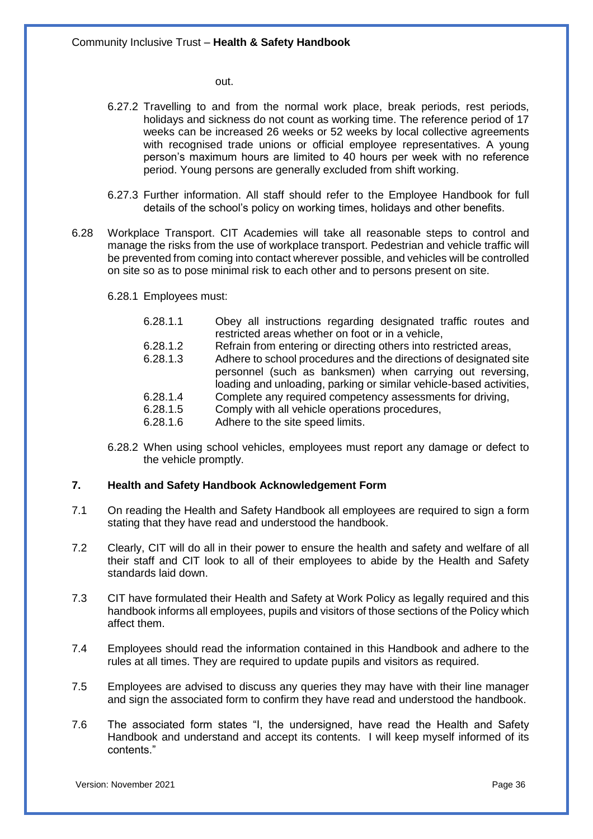out.

- 6.27.2 Travelling to and from the normal work place, break periods, rest periods, holidays and sickness do not count as working time. The reference period of 17 weeks can be increased 26 weeks or 52 weeks by local collective agreements with recognised trade unions or official employee representatives. A young person's maximum hours are limited to 40 hours per week with no reference period. Young persons are generally excluded from shift working.
- 6.27.3 Further information. All staff should refer to the Employee Handbook for full details of the school's policy on working times, holidays and other benefits.
- 6.28 Workplace Transport. CIT Academies will take all reasonable steps to control and manage the risks from the use of workplace transport. Pedestrian and vehicle traffic will be prevented from coming into contact wherever possible, and vehicles will be controlled on site so as to pose minimal risk to each other and to persons present on site.
	- 6.28.1 Employees must:
		- 6.28.1.1 Obey all instructions regarding designated traffic routes and restricted areas whether on foot or in a vehicle,
		- 6.28.1.2 Refrain from entering or directing others into restricted areas,
		- 6.28.1.3 Adhere to school procedures and the directions of designated site personnel (such as banksmen) when carrying out reversing, loading and unloading, parking or similar vehicle-based activities,
		- 6.28.1.4 Complete any required competency assessments for driving,
		- 6.28.1.5 Comply with all vehicle operations procedures,
		- 6.28.1.6 Adhere to the site speed limits.
	- 6.28.2 When using school vehicles, employees must report any damage or defect to the vehicle promptly.

#### **7. Health and Safety Handbook Acknowledgement Form**

- 7.1 On reading the Health and Safety Handbook all employees are required to sign a form stating that they have read and understood the handbook.
- 7.2 Clearly, CIT will do all in their power to ensure the health and safety and welfare of all their staff and CIT look to all of their employees to abide by the Health and Safety standards laid down.
- 7.3 CIT have formulated their Health and Safety at Work Policy as legally required and this handbook informs all employees, pupils and visitors of those sections of the Policy which affect them.
- 7.4 Employees should read the information contained in this Handbook and adhere to the rules at all times. They are required to update pupils and visitors as required.
- 7.5 Employees are advised to discuss any queries they may have with their line manager and sign the associated form to confirm they have read and understood the handbook.
- 7.6 The associated form states "I, the undersigned, have read the Health and Safety Handbook and understand and accept its contents. I will keep myself informed of its contents."